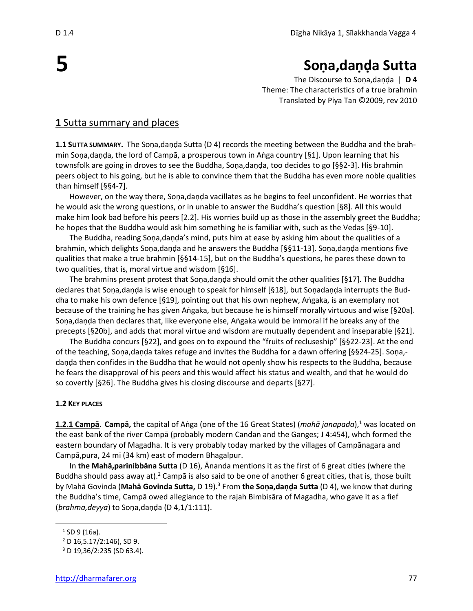# **Soṇa,daṇḍa Sutta**

The Discourse to Soṇa,daṇḍa | **D 4** Theme: The characteristics of a true brahmin Translated by Piya Tan ©2009, rev 2010

## **1** Sutta summary and places

**1.1 SUTTA SUMMARY.** The Soṇa,daṇḍa Sutta (D 4) records the meeting between the Buddha and the brahmin Soṇa,daṇḍa, the lord of Campā, a prosperous town in Aṅga country [§1]. Upon learning that his townsfolk are going in droves to see the Buddha, Soṇa,daṇḍa, too decides to go [§§2-3]. His brahmin peers object to his going, but he is able to convince them that the Buddha has even more noble qualities than himself [§§4-7].

However, on the way there, Soṇa,daṇḍa vacillates as he begins to feel unconfident. He worries that he would ask the wrong questions, or in unable to answer the Buddha's question [§8]. All this would make him look bad before his peers [2.2]. His worries build up as those in the assembly greet the Buddha; he hopes that the Buddha would ask him something he is familiar with, such as the Vedas [§9-10].

The Buddha, reading Soṇa,daṇḍa's mind, puts him at ease by asking him about the qualities of a brahmin, which delights Soṇa,daṇḍa and he answers the Buddha [§§11-13]. Soṇa,daṇḍa mentions five qualities that make a true brahmin [§§14-15], but on the Buddha's questions, he pares these down to two qualities, that is, moral virtue and wisdom [§16].

The brahmins present protest that Soṇa,daṇḍa should omit the other qualities [§17]. The Buddha declares that Soṇa,daṇḍa is wise enough to speak for himself [§18], but Soṇadaṇḍa interrupts the Buddha to make his own defence [§19], pointing out that his own nephew, Aṅgaka, is an exemplary not because of the training he has given Aṅgaka, but because he is himself morally virtuous and wise [§20a]. Soṇa,daṇḍa then declares that, like everyone else, Aṅgaka would be immoral if he breaks any of the precepts [§20b], and adds that moral virtue and wisdom are mutually dependent and inseparable [§21].

The Buddha concurs [§22], and goes on to expound the "fruits of recluseship" [§§22-23]. At the end of the teaching, Soṇa,daṇḍa takes refuge and invites the Buddha for a dawn offering [§§24-25]. Soṇa, daṇḍa then confides in the Buddha that he would not openly show his respects to the Buddha, because he fears the disapproval of his peers and this would affect his status and wealth, and that he would do so covertly [§26]. The Buddha gives his closing discourse and departs [§27].

#### **1.2 KEY PLACES**

**1.2.1 Campā. Campā,** the capital of Aṅga (one of the 16 Great States) (*mahā janapada*),<sup>1</sup> was located on the east bank of the river Campā (probably modern Candan and the Ganges; J 4:454), whch formed the eastern boundary of Magadha. It is very probably today marked by the villages of Campānagara and Campā,pura, 24 mi (34 km) east of modern Bhagalpur.

In **the Mahā,parinibbāna Sutta** (D 16), Ānanda mentions it as the first of 6 great cities (where the Buddha should pass away at).<sup>2</sup> Campā is also said to be one of another 6 great cities, that is, those built by Mahā Govinda (**Mahā Govinda Sutta,** D 19).<sup>3</sup> From **the Soṇa,daṇḍa Sutta** (D 4), we know that during the Buddha's time, Campā owed allegiance to the rajah Bimbisāra of Magadha, who gave it as a fief (*brahma,deyya*) to Soṇa,daṇḍa (D 4,1/1:111).

**5**

<sup>&</sup>lt;sup>1</sup> SD 9 (16a).

 $2$  D 16,5.17/2:146), SD 9.

<sup>3</sup> D 19,36/2:235 (SD 63.4).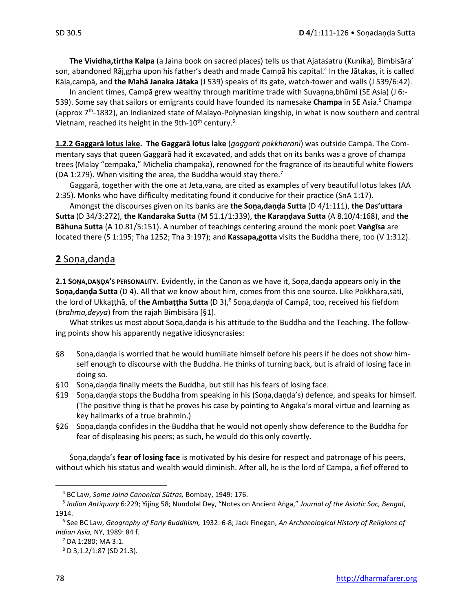**The Vividha,tirtha Kalpa** (a Jaina book on sacred places) tells us that Ajataśatru (Kunika), Bimbisāra' son, abandoned Rāj,gṛha upon his father's death and made Campā his capital.<sup>4</sup> In the Jātakas, it is called Kāḷa,campā, and **the Mahā Janaka Jātaka** (J 539) speaks of its gate, watch-tower and walls (J 539/6:42).

In ancient times, Campā grew wealthy through maritime trade with Suvaṇṇa,bhūmi (SE Asia) (J 6:- 539). Some say that sailors or emigrants could have founded its namesake **Champa** in SE Asia.<sup>5</sup> Champa (approx 7<sup>th</sup>-1832), an Indianized state of Malayo-Polynesian kingship, in what is now southern and central Vietnam, reached its height in the 9th-10<sup>th</sup> century.<sup>6</sup>

**1.2.2 Gaggarā lotus lake. The Gaggarā lotus lake** (*gaggarā pokkharanī*) was outside Campā. The Commentary says that queen Gaggarā had it excavated, and adds that on its banks was a grove of champa trees (Malay "cempaka," Michelia champaka), renowned for the fragrance of its beautiful white flowers (DA 1:279). When visiting the area, the Buddha would stay there.<sup>7</sup>

Gaggarā, together with the one at Jeta,vana, are cited as examples of very beautiful lotus lakes (AA 2:35). Monks who have difficulty meditating found it conducive for their practice (SnA 1:17).

Amongst the discourses given on its banks are **the Soṇa,daṇḍa Sutta** (D 4/1:111), **the Das'uttara Sutta** (D 34/3:272), **the Kandaraka Sutta** (M 51.1/1:339), **the Karaṇḍava Sutta** (A 8.10/4:168), and **the Bāhuna Sutta** (A 10.81/5:151). A number of teachings centering around the monk poet **Vaṅgīsa** are located there (S 1:195; Tha 1252; Tha 3:197); and **Kassapa,gotta** visits the Buddha there, too (V 1:312).

# **2** Soṇa,daṇḍa

**2.1 SOṆA,DAṆḐA'S PERSONALITY.** Evidently, in the Canon as we have it, Soṇa,daṇḍa appears only in **the Soṇa,daṇḍa Sutta** (D 4). All that we know about him, comes from this one source. Like Pokkhāra,sāti, the lord of Ukkaṭṭhā, of **the Ambaṭṭha Sutta** (D 3),<sup>8</sup> Soṇa,daṇḍa of Campā, too, received his fiefdom (*brahma,deyya*) from the rajah Bimbisāra [§1].

What strikes us most about Soṇa,daṇḍa is his attitude to the Buddha and the Teaching. The following points show his apparently negative idiosyncrasies:

- §8 Sona, danda is worried that he would humiliate himself before his peers if he does not show himself enough to discourse with the Buddha. He thinks of turning back, but is afraid of losing face in doing so.
- §10 Soṇa,daṇḍa finally meets the Buddha, but still has his fears of losing face.
- §19 Soṇa,daṇḍa stops the Buddha from speaking in his (Soṇa,daṇḍa's) defence, and speaks for himself. (The positive thing is that he proves his case by pointing to Aṅgaka's moral virtue and learning as key hallmarks of a true brahmin.)
- §26 Soṇa,daṇḍa confides in the Buddha that he would not openly show deference to the Buddha for fear of displeasing his peers; as such, he would do this only covertly.

Soṇa,daṇḍa's **fear of losing face** is motivated by his desire for respect and patronage of his peers, without which his status and wealth would diminish. After all, he is the lord of Campā, a fief offered to

<sup>4</sup> BC Law, *Some Jaina Canonical Sūtras,* Bombay, 1949: 176.

<sup>5</sup> *Indian Antiquary* 6:229; Yijing 58; Nundolal Dey, "Notes on Ancient Aṅga," *Journal of the Asiatic Soc, Bengal*, 1914.

<sup>6</sup> See BC Law, *Geography of Early Buddhism,* 1932: 6-8; Jack Finegan, *An Archaeological History of Religions of Indian Asia,* NY, 1989: 84 f.

 $<sup>7</sup>$  DA 1:280; MA 3:1.</sup>

<sup>8</sup> D 3,1.2/1:87 (SD 21.3).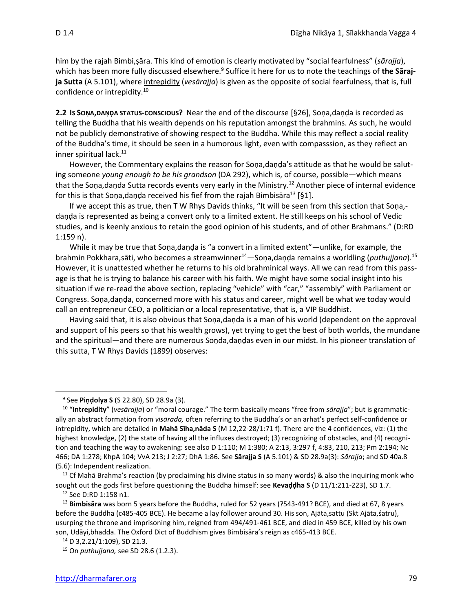him by the rajah Bimbi,ṣāra. This kind of emotion is clearly motivated by "social fearfulness" (*sārajja*), which has been more fully discussed elsewhere.<sup>9</sup> Suffice it here for us to note the teachings of **the Sārajja Sutta** (A 5.101), where intrepidity (*vesārajja*) is given as the opposite of social fearfulness, that is, full confidence or intrepidity.<sup>10</sup>

**2.2 IS SOṆA,DAṆḐA STATUS-CONSCIOUS?** Near the end of the discourse [§26], Soṇa,daṇḍa is recorded as telling the Buddha that his wealth depends on his reputation amongst the brahmins. As such, he would not be publicly demonstrative of showing respect to the Buddha. While this may reflect a social reality of the Buddha's time, it should be seen in a humorous light, even with compasssion, as they reflect an inner spiritual lack.<sup>11</sup>

However, the Commentary explains the reason for Sona,danda's attitude as that he would be saluting someone *young enough to be his grandson* (DA 292), which is, of course, possible—which means that the Soṇa,daṇda Sutta records events very early in the Ministry.<sup>12</sup> Another piece of internal evidence for this is that Sona, danda received his fief from the rajah Bimbisāra<sup>13</sup> [§1].

If we accept this as true, then T W Rhys Davids thinks, "It will be seen from this section that Soṇa, daṇḍa is represented as being a convert only to a limited extent. He still keeps on his school of Vedic studies, and is keenly anxious to retain the good opinion of his students, and of other Brahmans." (D:RD 1:159 n).

While it may be true that Soṇa,daṇḍa is "a convert in a limited extent"—unlike, for example, the brahmin Pokkhara,sāti, who becomes a streamwinner<sup>14</sup>—Soṇa,daṇḍa remains a worldling (*puthujjana*).<sup>15</sup> However, it is unattested whether he returns to his old brahminical ways. All we can read from this passage is that he is trying to balance his career with his faith. We might have some social insight into his situation if we re-read the above section, replacing "vehicle" with "car," "assembly" with Parliament or Congress. Soṇa,daṇḍa, concerned more with his status and career, might well be what we today would call an entrepreneur CEO, a politician or a local representative, that is, a VIP Buddhist.

Having said that, it is also obvious that Soṇa,daṇda is a man of his world (dependent on the approval and support of his peers so that his wealth grows), yet trying to get the best of both worlds, the mundane and the spiritual—and there are numerous Soṇda,daṇḍas even in our midst. In his pioneer translation of this sutta, T W Rhys Davids (1899) observes:

<sup>11</sup> Cf Mahā Brahma's reaction (by proclaiming his divine status in so many words) & also the inquiring monk who sought out the gods first before questioning the Buddha himself: see **Kevaḍḍha S** (D 11/1:211-223), SD 1.7.

<sup>9</sup> See **Piṇḍolya S** (S 22.80), SD 28.9a (3).

<sup>10</sup> "**Intrepidity**" (*vesārajja*) or "moral courage." The term basically means "free from *sārajja*"; but is grammatically an abstract formation from *visārada,* often referring to the Buddha's or an arhat's perfect self-confidence or intrepidity, which are detailed in **Mahā Sīha,nāda S** (M 12,22-28/1:71 f). There are the 4 confidences, viz: (1) the highest knowledge, (2) the state of having all the influxes destroyed; (3) recognizing of obstacles, and (4) recognition and teaching the way to awakening: see also D 1:110; M 1:380; A 2:13, 3:297 f, 4:83, 210, 213; Pm 2:194; Nc 466; DA 1:278; KhpA 104; VvA 213; J 2:27; DhA 1:86. See **Sārajja S** (A 5.101) & SD 28.9a(3): *Sārajja*; and SD 40a.8 (5.6): Independent realization.

<sup>12</sup> See D:RD 1:158 n1.

<sup>13</sup> **Bimbisāra** was born 5 years before the Buddha, ruled for 52 years (?543-491? BCE), and died at 67, 8 years before the Buddha (c485-405 BCE). He became a lay follower around 30. His son, Ajāta,sattu (Skt Ajāta,śatru), usurping the throne and imprisoning him, reigned from 494/491-461 BCE, and died in 459 BCE, killed by his own son, Udāyi,bhadda. The Oxford Dict of Buddhism gives Bimbisāra's reign as c465-413 BCE.

 $14$  D 3, 2.21/1:109), SD 21.3.

<sup>15</sup> On *puthujjana,* see SD 28.6 (1.2.3).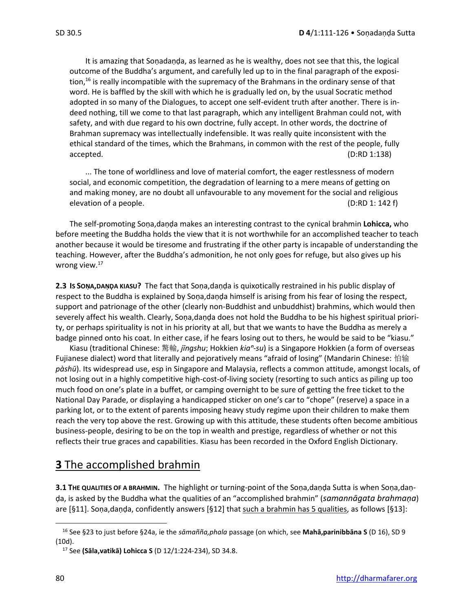It is amazing that Soṇadaṇḍa, as learned as he is wealthy, does not see that this, the logical outcome of the Buddha's argument, and carefully led up to in the final paragraph of the exposition,<sup>16</sup> is really incompatible with the supremacy of the Brahmans in the ordinary sense of that word. He is baffled by the skill with which he is gradually led on, by the usual Socratic method adopted in so many of the Dialogues, to accept one self-evident truth after another. There is indeed nothing, till we come to that last paragraph, which any intelligent Brahman could not, with safety, and with due regard to his own doctrine, fully accept. In other words, the doctrine of Brahman supremacy was intellectually indefensible. It was really quite inconsistent with the ethical standard of the times, which the Brahmans, in common with the rest of the people, fully accepted. (D:RD 1:138)

... The tone of worldliness and love of material comfort, the eager restlessness of modern social, and economic competition, the degradation of learning to a mere means of getting on and making money, are no doubt all unfavourable to any movement for the social and religious elevation of a people. (D:RD 1: 142 f)

The self-promoting Soṇa,daṇḍa makes an interesting contrast to the cynical brahmin **Lohicca,** who before meeting the Buddha holds the view that it is not worthwhile for an accomplished teacher to teach another because it would be tiresome and frustrating if the other party is incapable of understanding the teaching. However, after the Buddha's admonition, he not only goes for refuge, but also gives up his wrong view.<sup>17</sup>

**2.3 IS SOṆA,DAṆḐA KIASU?** The fact that Soṇa,daṇḍa is quixotically restrained in his public display of respect to the Buddha is explained by Soṇa,daṇḍa himself is arising from his fear of losing the respect, support and patrionage of the other (clearly non-Buddhist and unbuddhist) brahmins, which would then severely affect his wealth. Clearly, Soṇa,daṇḍa does not hold the Buddha to be his highest spiritual priority, or perhaps spirituality is not in his priority at all, but that we wants to have the Buddha as merely a badge pinned onto his coat. In either case, if he fears losing out to thers, he would be said to be "kiasu."

Kiasu (traditional Chinese: 驚輸, *jīngshu*; Hokkien *kiaⁿ-su*) is a Singapore Hokkien (a form of overseas Fujianese dialect) word that literally and pejoratively means "afraid of losing" (Mandarin Chinese: 怕输 *pà[shū](http://www.mdbg.net/chindict/chindict.php?page=worddict&wdrst=0&wdqb=%E6%80%95%E8%BE%93)*). Its widespread use, esp in Singapore and Malaysia, reflects a common attitude, amongst locals, of not losing out in a highly competitive high-cost-of-living society (resorting to such antics as piling up too much food on one's plate in a buffet, or camping overnight to be sure of getting the free ticket to the National Day Parade, or displaying a handicapped sticker on one's car to "chope" (reserve) a space in a parking lot, or to the extent of parents imposing heavy study regime upon their children to make them reach the very top above the rest. Growing up with this attitude, these students often become ambitious business-people, desiring to be on the top in wealth and prestige, regardless of whether or not this reflects their true graces and capabilities. Kiasu has been recorded in the Oxford English Dictionary.

# **3** The accomplished brahmin

**3.1 THE QUALITIES OF A BRAHMIN.** The highlight or turning-point of the Soṇa,daṇḍa Sutta is when Soṇa,daṇḍa, is asked by the Buddha what the qualities of an "accomplished brahmin" (*samannāgata brahmaṇa*) are [§11]. Soṇa,daṇḍa, confidently answers [§12] that such a brahmin has 5 qualities, as follows [§13]:

<sup>16</sup> See §23 to just before §24a, ie the *sāmañña,phala* passage (on which, see **Mahā,parinibbāna S** (D 16), SD 9 (10d).

<sup>17</sup> See **(Sāla,vatikā) Lohicca S** (D 12/1:224-234), SD 34.8.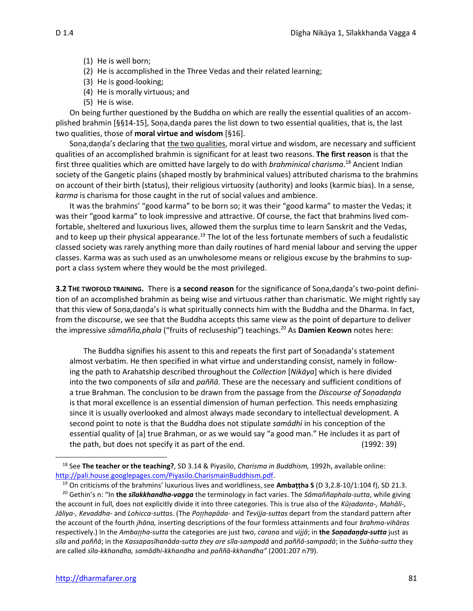- (1) He is well born;
- (2) He is accomplished in the Three Vedas and their related learning;
- (3) He is good-looking;
- (4) He is morally virtuous; and
- (5) He is wise.

On being further questioned by the Buddha on which are really the essential qualities of an accomplished brahmin [§§14-15], Soṇa,daṇḍa pares the list down to two essential qualities, that is, the last two qualities, those of **moral virtue and wisdom** [§16].

Soṇa,daṇḍa's declaring that the two qualities, moral virtue and wisdom, are necessary and sufficient qualities of an accomplished brahmin is significant for at least two reasons. **The first reason** is that the first three qualities which are omitted have largely to do with *brahminical charisma*. <sup>18</sup> Ancient Indian society of the Gangetic plains (shaped mostly by brahminical values) attributed charisma to the brahmins on account of their birth (status), their religious virtuosity (authority) and looks (karmic bias). In a sense, *karma* is charisma for those caught in the rut of social values and ambience.

It was the brahmins' "good karma" to be born so; it was their "good karma" to master the Vedas; it was their "good karma" to look impressive and attractive. Of course, the fact that brahmins lived comfortable, sheltered and luxurious lives, allowed them the surplus time to learn Sanskrit and the Vedas, and to keep up their physical appearance.<sup>19</sup> The lot of the less fortunate members of such a feudalistic classed society was rarely anything more than daily routines of hard menial labour and serving the upper classes. Karma was as such used as an unwholesome means or religious excuse by the brahmins to support a class system where they would be the most privileged.

**3.2 THE TWOFOLD TRAINING.** There is **a second reason** for the significance of Soṇa,daṇḍa's two-point definition of an accomplished brahmin as being wise and virtuous rather than charismatic. We might rightly say that this view of Soṇa,daṇḍa's is what spiritually connects him with the Buddha and the Dharma. In fact, from the discourse, we see that the Buddha accepts this same view as the point of departure to deliver the impressive *sāmañña,phala* ("fruits of recluseship") teachings. <sup>20</sup> As **Damien Keown** notes here:

The Buddha signifies his assent to this and repeats the first part of Soṇadaṇḍa's statement almost verbatim. He then specified in what virtue and understanding consist, namely in following the path to Arahatship described throughout the *Collection* [*Nikāya*] which is here divided into the two components of *sīla* and *paññā.* These are the necessary and sufficient conditions of a true Brahman. The conclusion to be drawn from the passage from the *Discourse of Soṇadaṇḍa* is that moral excellence is an essential dimension of human perfection. This needs emphasizing since it is usually overlooked and almost always made secondary to intellectual development. A second point to note is that the Buddha does not stipulate *samādhi* in his conception of the essential quality of [a] true Brahman, or as we would say "a good man." He includes it as part of the path, but does not specify it as part of the end. (1992: 39)

<sup>18</sup> See **The teacher or the teaching?**, SD 3.14 & Piyasilo, *Charisma in Buddhism,* 1992h, available online: [http://pali.house.googlepages.com/Piyasilo.CharismainBuddhism.pdf.](http://pali.house.googlepages.com/Piyasilo.CharismainBuddhism.pdf)

<sup>19</sup> On criticisms of the brahmins' luxurious lives and worldliness, see **Ambaṭṭha S** (D 3,2.8-10/1:104 f), SD 21.3.

<sup>20</sup> Gethin's n: "In **the** *sīlakkhandha-vagga* the terminology in fact varies. The *Sāmaññaphala-sutta*, while giving the account in full, does not explicitly divide it into three categories. This is true also of the *Kūadanta-, Mahāli-, Jāliya-, Kevaddha-* and *Lohicca-suttas.* (The *Pohapāda-* and *Tevijja-suttas* depart from the standard pattern after the account of the fourth *jhāna,* inserting descriptions of the four formless attainments and four *brahma-vihāras* respectively.) In the *Ambaha-sutta* the categories are just two, *caraṇa* and *vijjā*; in **the** *Soṇadaṇḍa-sutta* just as sīla and paññā; in the Kassapasīhanāda-sutta they are sīla-sampadā and paññā-sampadā; in the Subha-sutta they are called *sīla-kkhandha, samādhi-kkhandha* and *paññā-kkhandha"* (2001:207 n79).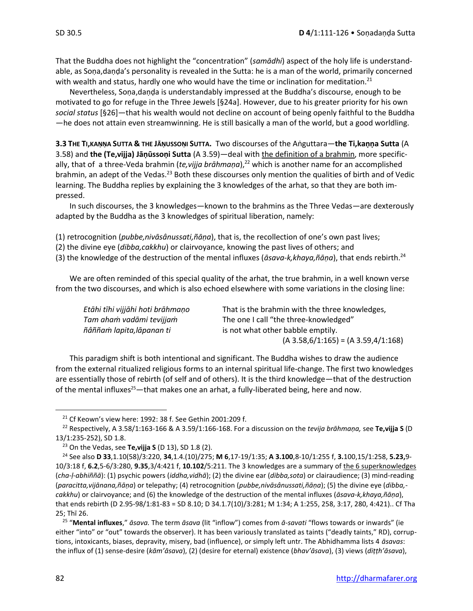That the Buddha does not highlight the "concentration" (*samādhi*) aspect of the holy life is understandable, as Soṇa,daṇḍa's personality is revealed in the Sutta: he is a man of the world, primarily concerned with wealth and status, hardly one who would have the time or inclination for meditation.<sup>21</sup>

Nevertheless, Soṇa,daṇḍa is understandably impressed at the Buddha's discourse, enough to be motivated to go for refuge in the Three Jewels [§24a]. However, due to his greater priority for his own *social status* [§26]—that his wealth would not decline on account of being openly faithful to the Buddha —he does not attain even streamwinning. He is still basically a man of the world, but a good worldling.

3.3 THE TI, KANNA SUTTA & THE JANUSSONI SUTTA. Two discourses of the Anguttara-the Ti, kanna Sutta (A 3.58) and **the (Te,vijja) Jāṇūssoṇi Sutta** (A 3.59)—deal with the definition of a brahmin, more specifically, that of a three-Veda brahmin (*te,vijja brāhmaṇa*), <sup>22</sup> which is another name for an accomplished brahmin, an adept of the Vedas.<sup>23</sup> Both these discourses only mention the qualities of birth and of Vedic learning. The Buddha replies by explaining the 3 knowledges of the arhat, so that they are both impressed.

In such discourses, the 3 knowledges—known to the brahmins as the Three Vedas—are dexterously adapted by the Buddha as the 3 knowledges of spiritual liberation, namely:

(1) retrocognition (*pubbe,nivāsânussati,ñāṇa*), that is, the recollection of one's own past lives;

(2) the divine eye (*dibba,cakkhu*) or clairvoyance, knowing the past lives of others; and

(3) the knowledge of the destruction of the mental influxes (*āsava-k,khaya,ñāṇa*), that ends rebirth. 24

We are often reminded of this special quality of the arhat, the true brahmin, in a well known verse from the two discourses, and which is also echoed elsewhere with some variations in the closing line:

| Etāhi tīhi vijjāhi hoti brāhmaņo | That is the brahmin with the three knowledges, |
|----------------------------------|------------------------------------------------|
| Tam aham vadāmi tevijjam         | The one I call "the three-knowledged"          |
| ñâññam lapita, lāpanan ti        | is not what other babble emptily.              |
|                                  | $(A 3.58, 6/1:165) = (A 3.59, 4/1:168)$        |

This paradigm shift is both intentional and significant. The Buddha wishes to draw the audience from the external ritualized religious forms to an internal spiritual life-change. The first two knowledges are essentially those of rebirth (of self and of others). It is the third knowledge—that of the destruction of the mental influxes<sup>25</sup>—that makes one an arhat, a fully-liberated being, here and now.

25 "**Mental influxes**," *āsava.* The term *āsava* (lit "inflow") comes from *ā-savati* "flows towards or inwards" (ie either "into" or "out" towards the observer). It has been variously translated as taints ("deadly taints," RD), corruptions, intoxicants, biases, depravity, misery, bad (influence), or simply left untr. The Abhidhamma lists 4 *āsavas*: the influx of (1) sense-desire (*kām'āsava*), (2) (desire for eternal) existence (*bhav'āsava*), (3) views (*diṭṭh'āsava*),

<sup>21</sup> Cf Keown's view here: 1992: 38 f. See Gethin 2001:209 f.

<sup>22</sup> Respectively, A 3.58/1:163-166 & A 3.59/1:166-168. For a discussion on the *tevija brāhmaṇa,* see **Te,vijja S** (D 13/1:235-252), SD 1.8.

<sup>23</sup> On the Vedas, see **Te,vijja S** (D 13), SD 1.8 (2).

<sup>24</sup> See also **D 33**,1.10(58)/3:220, **34**,1.4.(10)/275; **M 6**,17-19/1:35; **A 3.100**,8-10/1:255 f, **3.**100,15/1:258, **5.23,**9- 10/3:18 f, **6.2**,5-6/3:280, **9.35**,3/4:421 f, **10.102**/5:211. The 3 knowledges are a summary of the 6 superknowledges (*cha-ḷ-abhiññā*): (1) psychic powers (*iddha,vidhā*); (2) the divine ear (*dibba,sota*) or clairaudience; (3) mind-reading (*paracitta,vijānana,ñāṇa*) or telepathy; (4) retrocognition (*pubbe,nivāsânussati,ñāṇa*); (5) the divine eye (*dibba, cakkhu*) or clairvoyance; and (6) the knowledge of the destruction of the mental influxes (*āsava-k,khaya,ñāṇa*), that ends rebirth (D 2.95-98/1:81-83 = SD 8.10; D 34.1.7(10)/3:281; M 1:34; A 1:255, 258, 3:17, 280, 4:421).. Cf Tha 25; Thī 26.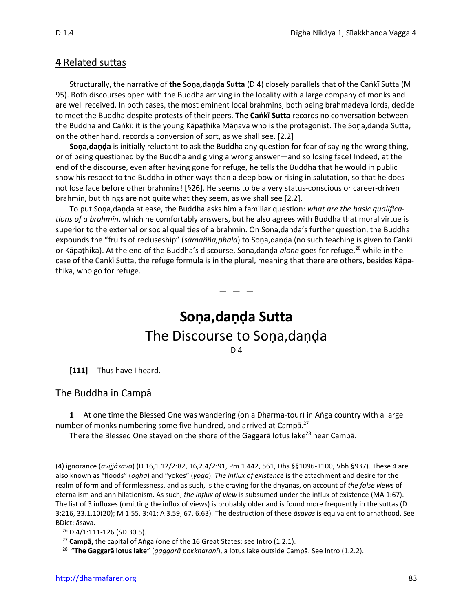#### **4** Related suttas

Structurally, the narrative of **the Soṇa,daṇḍa Sutta** (D 4) closely parallels that of the Caṅkī Sutta (M 95). Both discourses open with the Buddha arriving in the locality with a large company of monks and are well received. In both cases, the most eminent local brahmins, both being brahmadeya lords, decide to meet the Buddha despite protests of their peers. **The Caṅkī Sutta** records no conversation between the Buddha and Caṅkī: it is the young Kāpaṭhika Māṇava who is the protagonist. The Soṇa,daṇḍa Sutta, on the other hand, records a conversion of sort, as we shall see. [2.2]

**Soṇa,daṇḍa** is initially reluctant to ask the Buddha any question for fear of saying the wrong thing, or of being questioned by the Buddha and giving a wrong answer—and so losing face! Indeed, at the end of the discourse, even after having gone for refuge, he tells the Buddha that he would in public show his respect to the Buddha in other ways than a deep bow or rising in salutation, so that he does not lose face before other brahmins! [§26]. He seems to be a very status-conscious or career-driven brahmin, but things are not quite what they seem, as we shall see [2.2].

To put Soṇa,daṇḍa at ease, the Buddha asks him a familiar question: *what are the basic qualifications of a brahmin*, which he comfortably answers, but he also agrees with Buddha that moral virtue is superior to the external or social qualities of a brahmin. On Soṇa,daṇḍa's further question, the Buddha expounds the "fruits of recluseship" (*sāmañña,phala*) to Soṇa,daṇḍa (no such teaching is given to Caṅkī or Kāpaṭhika). At the end of the Buddha's discourse, Soṇa,daṇḍa *alone* goes for refuge,<sup>26</sup> while in the case of the Caṅkī Sutta, the refuge formula is in the plural, meaning that there are others, besides Kāpaṭhika, who go for refuge.

# **Soṇa,daṇḍa Sutta** The Discourse to Soṇa,daṇḍa

 $-$ 

D 4

**[111]** Thus have I heard.

#### The Buddha in Campā

**1** At one time the Blessed One was wandering (on a Dharma-tour) in Aṅga country with a large number of monks numbering some five hundred, and arrived at Campā.<sup>27</sup>

There the Blessed One stayed on the shore of the Gaggarā lotus lake<sup>28</sup> near Campā.

<sup>(4)</sup> ignorance (*avijjâsava*) (D 16,1.12/2:82, 16,2.4/2:91, Pm 1.442, 561, Dhs §§1096-1100, Vbh §937). These 4 are also known as "floods" (*ogha*) and "yokes" (*yoga*). *The influx of existence* is the attachment and desire for the realm of form and of formlessness, and as such, is the craving for the dhyanas, on account of *the false views* of eternalism and annihilationism. As such, *the influx of view* is subsumed under the influx of existence (MA 1:67). The list of 3 influxes (omitting the influx of views) is probably older and is found more frequently in the suttas (D 3:216, 33.1.10(20); M 1:55, 3:41; A 3.59, 67, 6.63). The destruction of these *āsavas* is equivalent to arhathood. See BDict: āsava.

<sup>26</sup> D 4/1:111-126 (SD 30.5).

<sup>27</sup> **Campā,** the capital of Aṅga (one of the 16 Great States: see Intro (1.2.1).

<sup>28</sup> "**The Gaggarā lotus lake**" (*gaggarā pokkharanī*), a lotus lake outside Campā. See Intro (1.2.2).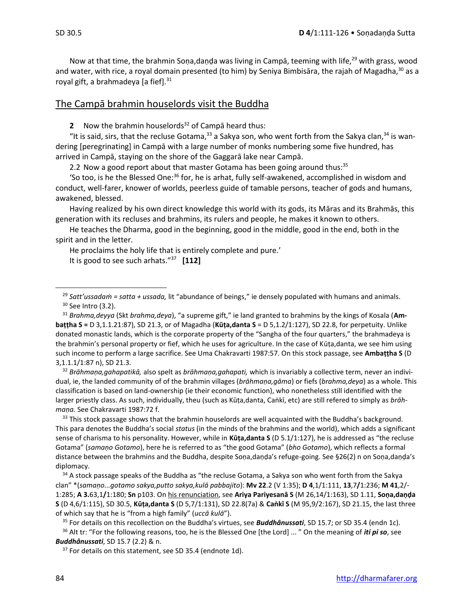Now at that time, the brahmin Sona,danda was living in Campa, teeming with life,  $29$  with grass, wood and water, with rice, a royal domain presented (to him) by Seniya Bimbisāra, the rajah of Magadha,<sup>30</sup> as a royal gift, a brahmadeya [a fief]. $31$ 

# The Campā brahmin houselords visit the Buddha

**2** Now the brahmin houselords <sup>32</sup> of Campā heard thus:

"It is said, sirs, that the recluse Gotama,<sup>33</sup> a Sakya son, who went forth from the Sakya clan,<sup>34</sup> is wandering [peregrinating] in Campā with a large number of monks numbering some five hundred, has arrived in Campā, staying on the shore of the Gaggarā lake near Campā.

2.2 Now a good report about that master Gotama has been going around thus: $35$ 

'So too, is he the Blessed One:<sup>36</sup> for, he is arhat, fully self-awakened, accomplished in wisdom and conduct, well-farer, knower of worlds, peerless guide of tamable persons, teacher of gods and humans, awakened, blessed.

Having realized by his own direct knowledge this world with its gods, its Māras and its Brahmās, this generation with its recluses and brahmins, its rulers and people, he makes it known to others.

He teaches the Dharma, good in the beginning, good in the middle, good in the end, both in the spirit and in the letter.

He proclaims the holy life that is entirely complete and pure.' It is good to see such arhats."<sup>37</sup> **[112]**

<sup>29</sup> *Satt'ussadaṁ = satta + ussada,* lit "abundance of beings," ie densely populated with humans and animals. <sup>30</sup> See Intro (3.2).

<sup>31</sup> *Brahma,deyya* (Skt *brahma,deya*), "a supreme gift," ie land granted to brahmins by the kings of Kosala (**Ambaṭṭha S =** D 3,1.1.21:87), SD 21.3, or of Magadha (**Kūṭa,danta S** = D 5,1.2/1:127), SD 22.8, for perpetuity. Unlike donated monastic lands, which is the corporate property of the "Sangha of the four quarters," the brahmadeya is the brahmin's personal property or fief, which he uses for agriculture. In the case of Kūṭa,danta, we see him using such income to perform a large sacrifice. See Uma Chakravarti 1987:57. On this stock passage, see **Ambaṭṭha S** (D 3,1.1.1/1:87 n), SD 21.3.

<sup>32</sup> *Brāhmaṇa,gahapatikā,* also spelt as *brāhmaṇa,gahapati,* which is invariably a collective term, never an individual, ie, the landed community of of the brahmin villages (*brāhmaṇa,gāma*) or fiefs (*brahma,deya*) as a whole. This classification is based on land-ownership (ie their economic function), who nonetheless still identified with the larger priestly class. As such, individually, theu (such as Kūṭa,danta, Caṅkī, etc) are still refered to simply as *brāhmaṇa.* See Chakravarti 1987:72 f.

 $33$  This stock passage shows that the brahmin houselords are well acquainted with the Buddha's background. This para denotes the Buddha's social *status* (in the minds of the brahmins and the world), which adds a significant sense of charisma to his personality. However, while in **Kūṭa,danta S** (D 5.1/1:127), he is addressed as "the recluse Gotama" (*samaṇo Gotamo*), here he is referred to as "the good Gotama" (*bho Gotamo*), which reflects a formal distance between the brahmins and the Buddha, despite Soṇa,daṇḍa's refuge-going. See §26(2) n on Soṇa,daṇḍa's diplomacy.

<sup>34</sup> A stock passage speaks of the Buddha as "the recluse Gotama, a Sakya son who went forth from the Sakya clan" \*(*samaṇo...gotamo sakya,putto sakya,kulā pabbajito*): **Mv 22**.2 (V 1:35); **D 4**,1/1:111, **13**,7**/**1:236; **M 41**,2/- 1:285; **A 3.**63,1**/**1:180; **Sn** p103. On his renunciation, see **Ariya Pariyesanā S** (M 26,14/1:163), SD 1.11, **Soṇa,daṇḍa S** (D 4,6/1:115), SD 30.5, **Kūṭa,danta S** (D 5,7/1:131), SD 22.8(7a) & **Caṅkī S** (M 95,9/2:167), SD 21.15, the last three of which say that he is "from a high family" (*uccā kulā*").

<sup>35</sup> For details on this recollection on the Buddha's virtues, see *Buddhânussati*, SD 15.7; or SD 35.4 (endn 1c).

<sup>36</sup> Alt tr: "For the following reasons, too, he is the Blessed One [the Lord] ... " On the meaning of *iti pi so*, see *Buddhânussati*, SD 15.7 (2.2) & n.

<sup>37</sup> For details on this statement, see SD 35.4 (endnote 1d).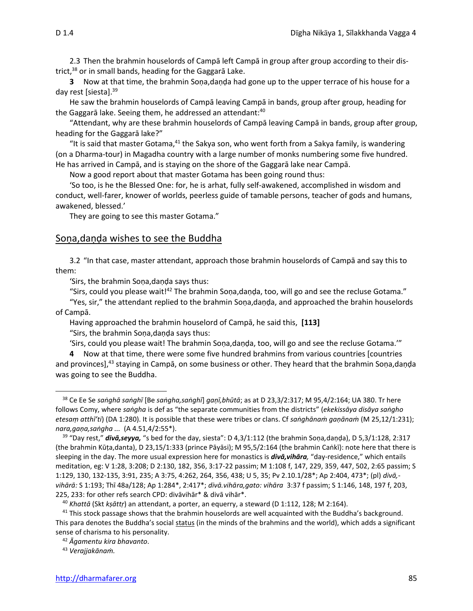2.3 Then the brahmin houselords of Campā left Campā in group after group according to their district, <sup>38</sup> or in small bands, heading for the Gaggarā Lake.

**3** Now at that time, the brahmin Soṇa,daṇḍa had gone up to the upper terrace of his house for a day rest [siesta]. 39

He saw the brahmin houselords of Campā leaving Campā in bands, group after group, heading for the Gaggarā lake. Seeing them, he addressed an attendant: $40$ 

"Attendant, why are these brahmin houselords of Campā leaving Campā in bands, group after group, heading for the Gaggarā lake?"

"It is said that master Gotama, $41$  the Sakya son, who went forth from a Sakya family, is wandering (on a Dharma-tour) in Magadha country with a large number of monks numbering some five hundred. He has arrived in Campā, and is staying on the shore of the Gaggarā lake near Campā.

Now a good report about that master Gotama has been going round thus:

'So too, is he the Blessed One: for, he is arhat, fully self-awakened, accomplished in wisdom and conduct, well-farer, knower of worlds, peerless guide of tamable persons, teacher of gods and humans, awakened, blessed.'

They are going to see this master Gotama."

#### Soṇa,daṇḍa wishes to see the Buddha

3.2 "In that case, master attendant, approach those brahmin houselords of Campā and say this to them:

'Sirs, the brahmin Soṇa,daṇḍa says thus:

"Sirs, could you please wait!<sup>42</sup> The brahmin Soṇa,daṇḍa, too, will go and see the recluse Gotama." "Yes, sir," the attendant replied to the brahmin Soṇa,daṇḍa, and approached the brahin houselords of Campā.

Having approached the brahmin houselord of Campā, he said this, **[113]**

"Sirs, the brahmin Soṇa,daṇḍa says thus:

'Sirs, could you please wait! The brahmin Soṇa,daṇḍa, too, will go and see the recluse Gotama.'"

**4** Now at that time, there were some five hundred brahmins from various countries [countries and provinces],<sup>43</sup> staying in Campā, on some business or other. They heard that the brahmin Soṇa,daṇḍa was going to see the Buddha.

<sup>43</sup> *Verajjakānaṁ.*

<sup>38</sup> Ce Ee Se *saṅghā saṅghī* [Be *saṅgha,saṅghī*] *gaṇī,bhūtā*; as at D 23,3/2:317; M 95,4/2:164; UA 380. Tr here follows Comy, where *saṅgha* is def as "the separate communities from the districts" (*ekekissāya disāya saṅgho etesaṃ atthī'ti*) (DA 1:280). It is possible that these were tribes or clans. Cf *saṅghānaṁ gaṇānaṁ* (M 25,12/1:231); *nara,gaṇa,saṅgha ...* (A 4.51,4/2:55\*).

<sup>39</sup> "Day rest," *divā,seyya,* "s bed for the day, siesta": D 4,3/1:112 (the brahmin Soṇa*,*daṇḍa), D 5,3/1:128, 2:317 (the brahmin Kūṭa,danta), D 23,15/1:333 (prince Pāyāsi); M 95,5/2:164 (the brahmin Caṅkī): note here that there is sleeping in the day. The more usual expression here for monastics is *divā,vihāra,* "day-residence," which entails meditation, eg: V 1:28, 3:208; D 2:130, 182, 356, 3:17-22 passim; M 1:108 f, 147, 229, 359, 447, 502, 2:65 passim; S 1:129, 130, 132-135, 3:91, 235; A 3:75, 4:262, 264, 356, 438; U 5, 35; Pv 2.10.1/28\*; Ap 2:404, 473\*; (pl) *divā, vihārā:* S 1:193; Thī 48a/128; Ap 1:284\*, 2:417\*; *divā.vihāra,gato: vihāra* 3:37 f passim; S 1:146, 148, 197 f, 203, 225, 233: for other refs search CPD: divāvihār\* & divā vihār\*.

<sup>40</sup> *Khattā* (Skt *kṣāttṛ*) an attendant, a porter, an equerry, a steward (D 1:112, 128; M 2:164).

<sup>&</sup>lt;sup>41</sup> This stock passage shows that the brahmin houselords are well acquainted with the Buddha's background. This para denotes the Buddha's social status (in the minds of the brahmins and the world), which adds a significant sense of charisma to his personality.

<sup>42</sup> *Ᾱgamentu kira bhavanto*.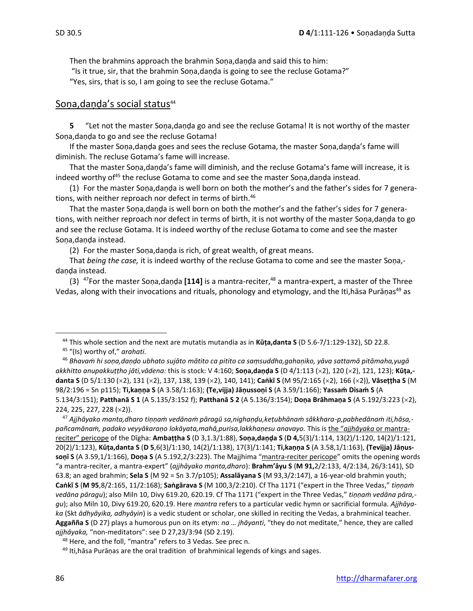Then the brahmins approach the brahmin Soṇa,daṇḍa and said this to him: "Is it true, sir, that the brahmin Soṇa,daṇḍa is going to see the recluse Gotama?" "Yes, sirs, that is so, I am going to see the recluse Gotama."

# Sona, daṇḍa's social status<sup>44</sup>

**5** "Let not the master Soṇa,daṇḍa go and see the recluse Gotama! It is not worthy of the master Soṇa,daṇḍa to go and see the recluse Gotama!

If the master Soṇa,daṇḍa goes and sees the recluse Gotama, the master Soṇa,daṇḍa's fame will diminish. The recluse Gotama's fame will increase.

That the master Soṇa,daṇḍa's fame will diminish, and the recluse Gotama's fame will increase, it is indeed worthy of<sup>45</sup> the recluse Gotama to come and see the master Soṇa,daṇḍa instead.

(1) For the master Soṇa,daṇḍa is well born on both the mother's and the father's sides for 7 generations, with neither reproach nor defect in terms of birth.<sup>46</sup>

That the master Soṇa,daṇḍa is well born on both the mother's and the father's sides for 7 generations, with neither reproach nor defect in terms of birth, it is not worthy of the master Soṇa,daṇḍa to go and see the recluse Gotama. It is indeed worthy of the recluse Gotama to come and see the master Sona,danda instead.

(2) For the master Soṇa,daṇḍa is rich, of great wealth, of great means.

That *being the case,* it is indeed worthy of the recluse Gotama to come and see the master Soṇa, daṇḍa instead.

(3) <sup>47</sup>For the master Soṇa,daṇḍa **[114]** is a mantra-reciter,<sup>48</sup> a mantra-expert, a master of the Three Vedas, along with their invocations and rituals, phonology and etymology, and the Iti,hāsa Purāṇas<sup>49</sup> as

<sup>44</sup> This whole section and the next are mutatis mutandia as in **Kūṭa,danta S** (D 5.6-7/1:129-132), SD 22.8.

<sup>45</sup> "(Is) worthy of," *arahati.*

<sup>46</sup> *Bhavaṁ hi soṇa,daṇḍo ubhato sujāto mātito ca pitito ca saṃsuddha,gahaṇiko, yāva sattamā pitāmaha,yugā akkhitto anupakkuṭṭho jāti,vādena:* this is stock: V 4:160; **Soṇa,daṇḍa S** (D 4/1:113 (2), 120 (2), 121, 123); **Kūṭa, danta S** (D 5/1:130 (2), 131 (2), 137, 138, 139 (2), 140, 141); **Caṅkī S** (M 95/2:165 (2), 166 (2)), **Vāseṭṭha S** (M 98/2:196 = Sn p115); **Ti,kaṇṇa S** (A 3.58/1:163); **(Te,vijja) Jāṇussoṇi S** (A 3.59/1:166); **Yassaṁ Disaṁ S** (A 5.134/3:151); **Patthanā S 1** (A 5.135/3:152 f); **Patthanā S 2** (A 5.136/3:154); **Doṇa Brāhmaṇa S** (A 5.192/3:223 (2), 224, 225, 227, 228 (×2)).

<sup>47</sup> *Ajjhāyako manta,dharo tiṇṇaṁ vedānaṁ pāragū sa,nighaṇḍu,keṭubhānaṁ sâkkhara-p,pabhedānaṁ iti,hāsa, pañcamānaṁ, padako veyyākaraṇo lokāyata,mahā,purisa,lakkhaṇesu anavayo.* This is the "*ajjhāyaka* or mantrareciter" pericope of the Dīgha: **Ambaṭṭha S** (D 3,1.3/1:88), **Soṇa,daṇḍa S** (**D 4,**5(3)/1:114, 13(2)/1:120, 14(2)/1:121, 20(2)/1:123), **Kūṭa,danta S** (**D 5**,6(3)/1:130, 14(2)/1:138), 17(3)/1:141; **Ti,kaṇṇa S** (A 3.58,1/1:163), **(Tevijja) Jāṇussoṇī S** (A 3.59,1/1:166), **Doṇa S** (A 5.192,2/3:223). The Majjhima "mantra-reciter pericope" omits the opening words "a mantra-reciter, a mantra-expert" (*ajjhāyako manta,dharo*): **Brahm'āyu S** (**M 91,**2/2:133, 4/2:134, 26/3:141), SD 63.8; an aged brahmin; **Sela S** (M 92 = Sn 3.7/p105); **Assalāyana S** (M 93,3/2:147), a 16-year-old brahmin youth; **Caṅkī S** (**M 95**,8/2:165, 11/2:168); **Saṅgārava S** (M 100,3/2:210). Cf Tha 1171 ("expert in the Three Vedas," *tiṇṇaṁ vedāna pāragu*); also Miln 10, Divy 619.20, 620.19. Cf Tha 1171 ("expert in the Three Vedas," *tiṇṇaṁ vedāna pāra, gu*); also Miln 10, Divy 619.20, 620.19. Here *mantra* refers to a particular vedic hymn or sacrificial formula. *Ajjhāyaka* (Skt *ādhyāyika, adhyāyin*) is a vedic student or scholar, one skilled in reciting the Vedas, a brahminical teacher. **Aggañña S** (D 27) plays a humorous pun on its etym: *na … jhāyanti*, "they do not meditate," hence, they are called *ajjhāyaka,* "non-meditators": see D 27,23/3:94 (SD 2.19).

<sup>48</sup> Here, and the foll, "mantra" refers to 3 Vedas. See prec n.

<sup>49</sup> Iti, hasa Puraņas are the oral tradition of brahminical legends of kings and sages.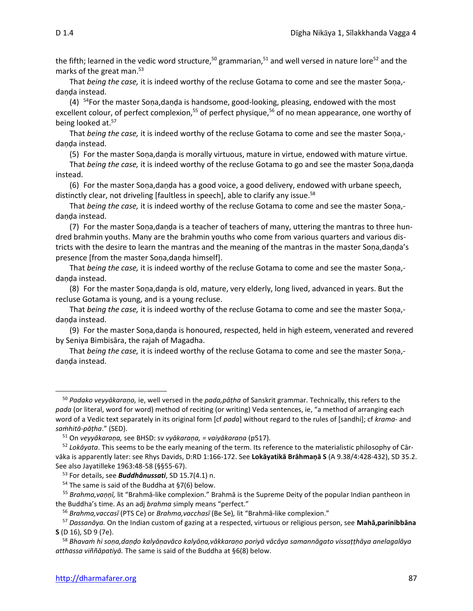the fifth; learned in the vedic word structure,<sup>50</sup> grammarian,<sup>51</sup> and well versed in nature lore<sup>52</sup> and the marks of the great man. 53

That *being the case,* it is indeed worthy of the recluse Gotama to come and see the master Soṇa, danda instead.

 $(4)$ <sup>54</sup>For the master Soṇa,daṇḍa is handsome, good-looking, pleasing, endowed with the most excellent colour, of perfect complexion,<sup>55</sup> of perfect physique,<sup>56</sup> of no mean appearance, one worthy of being looked at.<sup>57</sup>

That *being the case,* it is indeed worthy of the recluse Gotama to come and see the master Soṇa, daṇḍa instead.

(5) For the master Soṇa,daṇḍa is morally virtuous, mature in virtue, endowed with mature virtue.

That *being the case,* it is indeed worthy of the recluse Gotama to go and see the master Soṇa,daṇḍa instead.

(6) For the master Soṇa,daṇḍa has a good voice, a good delivery, endowed with urbane speech, distinctly clear, not driveling [faultless in speech], able to clarify any issue.<sup>58</sup>

That *being the case,* it is indeed worthy of the recluse Gotama to come and see the master Soṇa, danda instead.

(7) For the master Soṇa,daṇḍa is a teacher of teachers of many, uttering the mantras to three hundred brahmin youths. Many are the brahmin youths who come from various quarters and various districts with the desire to learn the mantras and the meaning of the mantras in the master Soṇa,daṇḍa's presence [from the master Soṇa,daṇḍa himself].

That *being the case,* it is indeed worthy of the recluse Gotama to come and see the master Soṇa, daṇḍa instead.

(8) For the master Soṇa,daṇḍa is old, mature, very elderly, long lived, advanced in years. But the recluse Gotama is young, and is a young recluse.

That *being the case,* it is indeed worthy of the recluse Gotama to come and see the master Soṇa, danda instead.

(9) For the master Soṇa,daṇḍa is honoured, respected, held in high esteem, venerated and revered by Seniya Bimbisāra, the rajah of Magadha.

That *being the case,* it is indeed worthy of the recluse Gotama to come and see the master Soṇa, daṇḍa instead.

<sup>50</sup> *Padako veyyākaraṇo,* ie, well versed in the *pada,pāṭha* of Sanskrit grammar. Technically, this refers to the *pada* (or literal, word for word) method of reciting (or writing) Veda sentences, ie, "a method of arranging each word of a Vedic text separately in its original form [cf *pada*] without regard to the rules of [sandhi]; cf *krama-* and *saṁhitā-pāṭha*." (SED).

<sup>51</sup> On *veyyākaraṇa,* see BHSD: sv *vyākaraṇa, = vaiyākaraṇa* (p517).

<sup>52</sup> *Lokāyata*. This seems to be the early meaning of the term. Its reference to the materialistic philosophy of Cārvāka is apparently later: see Rhys Davids, D:RD 1:166-172. See **Lokāyatikā Brāhmaṇā S** (A 9.38/4:428-432), SD 35.2. See also Jayatilleke 1963:48-58 (§§55-67).

<sup>53</sup> For details, see *Buddhânussati*, SD 15.7(4.1) n.

 $54$  The same is said of the Buddha at §7(6) below.

<sup>55</sup> *Brahma,vaṇṇī,* lit "Brahmā-like complexion." Brahmā is the Supreme Deity of the popular Indian pantheon in the Buddha's time. As an adj *brahma* simply means "perfect."

<sup>56</sup> *Brahma,vaccasī* (PTS Ce) or *Brahma,vacchasī* (Be Se)*,* lit "Brahmā-like complexion."

<sup>57</sup> *Dassanāya.* On the Indian custom of gazing at a respected, virtuous or religious person, see **Mahā,parinibbāna S** (D 16), SD 9 (7e).

<sup>58</sup> *Bhavaṁ hi soṇa,daṇḍo kalyāṇavāco kalyāṇa,vākkaraṇo poriyā vācāya samannāgato vissaṭṭhāya anelagalāya atthassa viññāpatiyā.* The same is said of the Buddha at §6(8) below.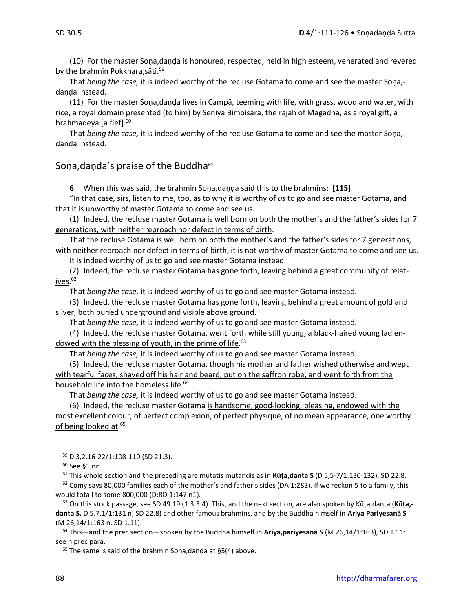(10) For the master Soṇa,daṇḍa is honoured, respected, held in high esteem, venerated and revered by the brahmin Pokkhara, sāti.<sup>59</sup>

That *being the case,* it is indeed worthy of the recluse Gotama to come and see the master Soṇa, danda instead.

(11) For the master Soṇa,daṇḍa lives in Campā, teeming with life, with grass, wood and water, with rice, a royal domain presented (to him) by Seniya Bimbisāra, the rajah of Magadha, as a royal gift, a brahmadeya [a fief].<sup>60</sup>

That *being the case,* it is indeed worthy of the recluse Gotama to come and see the master Soṇa, daṇḍa instead.

#### Soṇa, daṇḍa's praise of the Buddha<sup>61</sup>

**6** When this was said, the brahmin Soṇa,daṇḍa said this to the brahmins: **[115]**

"In that case, sirs, listen to me, too, as to why it is worthy of *us* to go and see master Gotama, and that it is unworthy of master Gotama to come and see us.

(1) Indeed, the recluse master Gotama is well born on both the mother's and the father's sides for 7 generations, with neither reproach nor defect in terms of birth.

That the recluse Gotama is well born on both the mother's and the father's sides for 7 generations, with neither reproach nor defect in terms of birth, it is not worthy of master Gotama to come and see us.

It is indeed worthy of us to go and see master Gotama instead.

(2) Indeed, the recluse master Gotama has gone forth, leaving behind a great community of relatives. 62

That *being the case,* it is indeed worthy of us to go and see master Gotama instead.

(3) Indeed, the recluse master Gotama has gone forth, leaving behind a great amount of gold and silver, both buried underground and visible above ground.

That *being the case,* it is indeed worthy of us to go and see master Gotama instead.

(4) Indeed, the recluse master Gotama, went forth while still young, a black-haired young lad endowed with the blessing of youth, in the prime of life.<sup>63</sup>

That *being the case,* it is indeed worthy of us to go and see master Gotama instead.

(5) Indeed, the recluse master Gotama, though his mother and father wished otherwise and wept with tearful faces, shaved off his hair and beard, put on the saffron robe, and went forth from the household life into the homeless life. 64

That *being the case,* it is indeed worthy of us to go and see master Gotama instead.

(6) Indeed, the recluse master Gotama is handsome, good-looking, pleasing, endowed with the most excellent colour, of perfect complexion, of perfect physique, of no mean appearance, one worthy of being looked at.<sup>65</sup>

<sup>61</sup> This whole section and the preceding are mutatis mutandis as in **Kūṭa,danta S** (D 5,5-7/1:130-132), SD 22.8.

 $62$  Comy says 80,000 families each of the mother's and father's sides (DA 1:283). If we reckon 5 to a family, this would tota l to some 800,000 (D:RD 1:147 n1).

<sup>63</sup> On this stock passage, see SD 49.19 (1.3.3.4). This, and the next section, are also spoken by Kūṭa,danta (**Kūṭa, danta S,** D 5,7.1/1:131 n, SD 22.8) and other famous brahmins, and by the Buddha himself in **Ariya Pariyesanā S**  (M 26,14/1:163 n, SD 1.11).

<sup>64</sup> This—and the prec section—spoken by the Buddha himself in **Ariya,pariyesanā S** (M 26,14/1:163), SD 1.11: see n prec para.

<sup>65</sup> The same is said of the brahmin Soṇa, daṇḍa at §5(4) above.

<sup>59</sup> D 3,2.16-22/1:108-110 (SD 21.3).

<sup>60</sup> See §1 nn.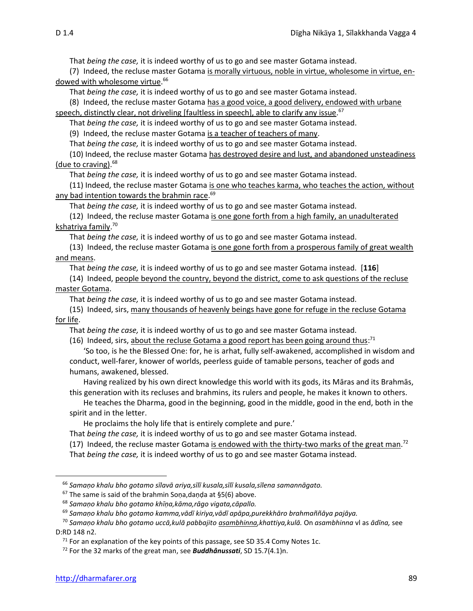That *being the case,* it is indeed worthy of us to go and see master Gotama instead.

(7) Indeed, the recluse master Gotama is morally virtuous, noble in virtue, wholesome in virtue, endowed with wholesome virtue. 66

That *being the case,* it is indeed worthy of us to go and see master Gotama instead.

(8) Indeed, the recluse master Gotama has a good voice, a good delivery, endowed with urbane speech, distinctly clear, not driveling [faultless in speech], able to clarify any issue.<sup>67</sup>

That *being the case,* it is indeed worthy of us to go and see master Gotama instead.

(9) Indeed, the recluse master Gotama is a teacher of teachers of many.

That *being the case,* it is indeed worthy of us to go and see master Gotama instead.

(10) Indeed, the recluse master Gotama has destroyed desire and lust, and abandoned unsteadiness (due to craving).<sup>68</sup>

That *being the case,* it is indeed worthy of us to go and see master Gotama instead.

(11) Indeed, the recluse master Gotama is one who teaches karma, who teaches the action, without any bad intention towards the brahmin race.<sup>69</sup>

That *being the case,* it is indeed worthy of us to go and see master Gotama instead.

(12) Indeed, the recluse master Gotama is one gone forth from a high family, an unadulterated kshatriya family. 70

That *being the case,* it is indeed worthy of us to go and see master Gotama instead.

(13) Indeed, the recluse master Gotama is one gone forth from a prosperous family of great wealth and means.

That *being the case,* it is indeed worthy of us to go and see master Gotama instead. [**116**]

(14) Indeed, people beyond the country, beyond the district, come to ask questions of the recluse master Gotama.

That *being the case,* it is indeed worthy of us to go and see master Gotama instead.

(15) Indeed, sirs, many thousands of heavenly beings have gone for refuge in the recluse Gotama for life.

That *being the case,* it is indeed worthy of us to go and see master Gotama instead.

(16) Indeed, sirs, about the recluse Gotama a good report has been going around thus:<sup>71</sup>

'So too, is he the Blessed One: for, he is arhat, fully self-awakened, accomplished in wisdom and conduct, well-farer, knower of worlds, peerless guide of tamable persons, teacher of gods and humans, awakened, blessed.

Having realized by his own direct knowledge this world with its gods, its Māras and its Brahmās, this generation with its recluses and brahmins, its rulers and people, he makes it known to others.

He teaches the Dharma, good in the beginning, good in the middle, good in the end, both in the spirit and in the letter.

He proclaims the holy life that is entirely complete and pure.'

- That *being the case,* it is indeed worthy of us to go and see master Gotama instead.
- (17) Indeed, the recluse master Gotama is endowed with the thirty-two marks of the great man.<sup>72</sup>
- That *being the case,* it is indeed worthy of us to go and see master Gotama instead.

<sup>66</sup> *Samaṇo khalu bho gotamo sīlavā ariya,sīlī kusala,sīlī kusala,sīlena samannāgato.*

 $67$  The same is said of the brahmin Sona, danda at §5(6) above.

<sup>68</sup> *Samaṇo khalu bho gotamo khīṇa,kāma,rāgo vigata,cāpallo.*

<sup>69</sup> *Samaṇo khalu bho gotamo kamma,vādī kiriya,vādī apāpa,purekkhāro brahmaññāya pajāya.*

<sup>70</sup> *Samaṇo khalu bho gotamo uccā,kulā pabbajito asambhinna,khattiya,kulā.* On *asambhinna* vl as *ādīna,* see D:RD 148 n2.

 $71$  For an explanation of the key points of this passage, see SD 35.4 Comy Notes 1c.

<sup>72</sup> For the 32 marks of the great man, see *Buddhânussati*, SD 15.7(4.1)n.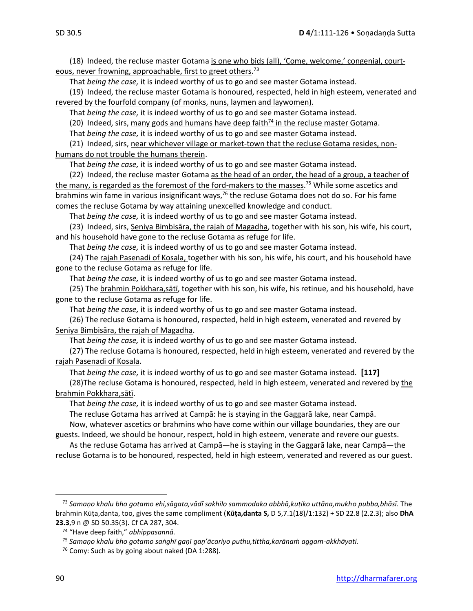(18) Indeed, the recluse master Gotama is one who bids (all), 'Come, welcome,' congenial, courteous, never frowning, approachable, first to greet others.<sup>73</sup>

That *being the case,* it is indeed worthy of us to go and see master Gotama instead.

(19) Indeed, the recluse master Gotama is honoured, respected, held in high esteem, venerated and revered by the fourfold company (of monks, nuns, laymen and laywomen).

That *being the case,* it is indeed worthy of us to go and see master Gotama instead.

(20) Indeed, sirs, many gods and humans have deep faith<sup>74</sup> in the recluse master Gotama.

That *being the case,* it is indeed worthy of us to go and see master Gotama instead.

(21) Indeed, sirs, near whichever village or market-town that the recluse Gotama resides, nonhumans do not trouble the humans therein.

That *being the case,* it is indeed worthy of us to go and see master Gotama instead.

(22) Indeed, the recluse master Gotama as the head of an order, the head of a group, a teacher of the many, is regarded as the foremost of the ford-makers to the masses.<sup>75</sup> While some ascetics and brahmins win fame in various insignificant ways,  $76$  the recluse Gotama does not do so. For his fame comes the recluse Gotama by way attaining unexcelled knowledge and conduct.

That *being the case,* it is indeed worthy of us to go and see master Gotama instead.

(23) Indeed, sirs, Seniya Bimbisāra, the rajah of Magadha, together with his son, his wife, his court, and his household have gone to the recluse Gotama as refuge for life.

That *being the case,* it is indeed worthy of us to go and see master Gotama instead.

(24) The rajah Pasenadi of Kosala, together with his son, his wife, his court, and his household have gone to the recluse Gotama as refuge for life.

That *being the case,* it is indeed worthy of us to go and see master Gotama instead.

(25) The brahmin Pokkhara,sātī, together with his son, his wife, his retinue, and his household, have gone to the recluse Gotama as refuge for life.

That *being the case,* it is indeed worthy of us to go and see master Gotama instead.

(26) The recluse Gotama is honoured, respected, held in high esteem, venerated and revered by Seniya Bimbisāra, the rajah of Magadha.

That *being the case,* it is indeed worthy of us to go and see master Gotama instead.

(27) The recluse Gotama is honoured, respected, held in high esteem, venerated and revered by the rajah Pasenadi of Kosala.

That *being the case,* it is indeed worthy of us to go and see master Gotama instead. **[117]**

(28)The recluse Gotama is honoured, respected, held in high esteem, venerated and revered by the brahmin Pokkhara,sātī.

That *being the case,* it is indeed worthy of us to go and see master Gotama instead.

The recluse Gotama has arrived at Campā: he is staying in the Gaggarā lake, near Campā.

Now, whatever ascetics or brahmins who have come within our village boundaries, they are our guests. Indeed, we should be honour, respect, hold in high esteem, venerate and revere our guests.

As the recluse Gotama has arrived at Campā—he is staying in the Gaggarā lake, near Campā—the recluse Gotama is to be honoured, respected, held in high esteem, venerated and revered as our guest.

<sup>73</sup> *Samaṇo khalu bho gotamo ehi,sāgata,vādī sakhilo sammodako abbhā,kuṭiko uttāna,mukho pubba,bhāsī.* The brahmin Kūṭa,danta, too, gives the same compliment (**Kūṭa,danta S,** D 5,7.1(18)/1:132) + SD 22.8 (2.2.3); also **DhA 23.3**,9 n @ SD 50.35(3). Cf CA 287, 304.

<sup>74</sup> "Have deep faith," *abhippasannā.*

<sup>75</sup> *Samaṇo khalu bho gotamo saṅghī gaṇī gaṇ'ācariyo puthu,tittha,karānaṁ aggam-akkhāyati.*

<sup>&</sup>lt;sup>76</sup> Comy: Such as by going about naked (DA 1:288).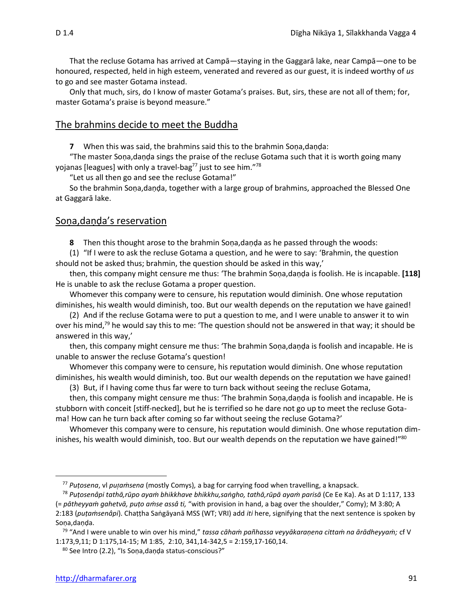That the recluse Gotama has arrived at Campā—staying in the Gaggarā lake, near Campā—one to be honoured, respected, held in high esteem, venerated and revered as our guest, it is indeed worthy of *us* to go and see master Gotama instead.

Only that much, sirs, do I know of master Gotama's praises. But, sirs, these are not all of them; for, master Gotama's praise is beyond measure."

#### The brahmins decide to meet the Buddha

**7** When this was said, the brahmins said this to the brahmin Soṇa,daṇḍa:

"The master Soṇa,daṇḍa sings the praise of the recluse Gotama such that it is worth going many yojanas [leagues] with only a travel-bag<sup>77</sup> just to see him."<sup>78</sup>

"Let us all then go and see the recluse Gotama!"

So the brahmin Soṇa,daṇḍa, together with a large group of brahmins, approached the Blessed One at Gaggarā lake.

### Soṇa,daṇḍa's reservation

**8** Then this thought arose to the brahmin Soṇa,daṇḍa as he passed through the woods:

(1) "If I were to ask the recluse Gotama a question, and he were to say: 'Brahmin, the question should not be asked thus; brahmin, the question should be asked in this way,'

then, this company might censure me thus: 'The brahmin Soṇa,daṇḍa is foolish. He is incapable. **[118]**  He is unable to ask the recluse Gotama a proper question.

Whomever this company were to censure, his reputation would diminish. One whose reputation diminishes, his wealth would diminish, too. But our wealth depends on the reputation we have gained!

(2) And if the recluse Gotama were to put a question to me, and I were unable to answer it to win over his mind,<sup>79</sup> he would say this to me: 'The question should not be answered in that way; it should be answered in this way,'

then, this company might censure me thus: 'The brahmin Soṇa,daṇḍa is foolish and incapable. He is unable to answer the recluse Gotama's question!

Whomever this company were to censure, his reputation would diminish. One whose reputation diminishes, his wealth would diminish, too. But our wealth depends on the reputation we have gained!

(3) But, if I having come thus far were to turn back without seeing the recluse Gotama,

then, this company might censure me thus: 'The brahmin Soṇa,daṇḍa is foolish and incapable. He is stubborn with conceit [stiff-necked], but he is terrified so he dare not go up to meet the recluse Gotama! How can he turn back after coming so far without seeing the recluse Gotama?'

Whomever this company were to censure, his reputation would diminish. One whose reputation diminishes, his wealth would diminish, too. But our wealth depends on the reputation we have gained!"<sup>80</sup>

<sup>77</sup> *Puṭosena*, vl *puaṁsena* (mostly Comys)*,* a bag for carrying food when travelling, a knapsack.

<sup>&</sup>lt;sup>78</sup> Putosenâpi tathā,rūpo ayam bhikkhave bhikkhu,sangho, tathā,rūpā ayam parisā (Ce Ee Ka). As at D 1:117, 133 (= *pātheyyaṁ gahetvā, puṭo aṁse assâ ti,* "with provision in hand, a bag over the shoulder," Comy); M 3:80; A 2:183 (*puṭaṁsenâpi*). Chaṭṭha Saṅgāyanā MSS (WT; VRI) add *iti* here, signifying that the next sentence is spoken by

Soṇa,daṇḍa.

<sup>79</sup> "And I were unable to win over his mind," *tassa cāhaṁ pañhassa veyyākaraṇena cittaṁ na ārādheyyaṁ;* cf V 1:173,9,11; D 1:175,14-15; M 1:85, 2:10, 341,14-342,5 = 2:159,17-160,14.

<sup>80</sup> See Intro (2.2), "Is Soṇa,daṇḍa status-conscious?"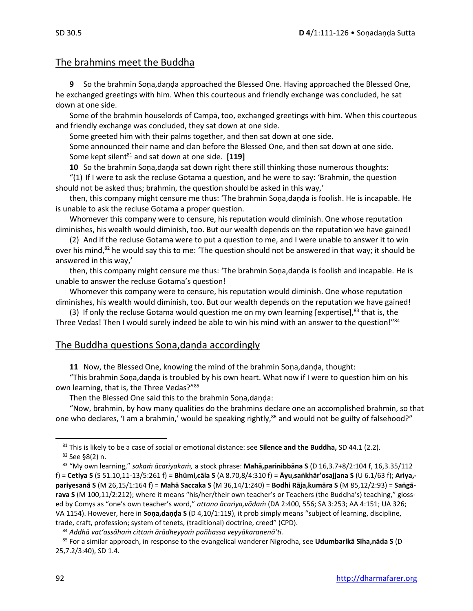# The brahmins meet the Buddha

**9** So the brahmin Soṇa,daṇḍa approached the Blessed One. Having approached the Blessed One, he exchanged greetings with him. When this courteous and friendly exchange was concluded, he sat down at one side.

Some of the brahmin houselords of Campā, too, exchanged greetings with him. When this courteous and friendly exchange was concluded, they sat down at one side.

Some greeted him with their palms together, and then sat down at one side.

Some announced their name and clan before the Blessed One, and then sat down at one side. Some kept silent<sup>81</sup> and sat down at one side. [119]

**10** So the brahmin Soṇa,daṇḍa sat down right there still thinking those numerous thoughts:

"(1) If I were to ask the recluse Gotama a question, and he were to say: 'Brahmin, the question should not be asked thus; brahmin, the question should be asked in this way,'

then, this company might censure me thus: 'The brahmin Soṇa,daṇḍa is foolish. He is incapable. He is unable to ask the recluse Gotama a proper question.

Whomever this company were to censure, his reputation would diminish. One whose reputation diminishes, his wealth would diminish, too. But our wealth depends on the reputation we have gained!

(2) And if the recluse Gotama were to put a question to me, and I were unable to answer it to win over his mind,<sup>82</sup> he would say this to me: 'The question should not be answered in that way; it should be answered in this way,'

then, this company might censure me thus: 'The brahmin Soṇa,daṇḍa is foolish and incapable. He is unable to answer the recluse Gotama's question!

Whomever this company were to censure, his reputation would diminish. One whose reputation diminishes, his wealth would diminish, too. But our wealth depends on the reputation we have gained!

(3) If only the recluse Gotama would question me on my own learning [expertise],<sup>83</sup> that is, the Three Vedas! Then I would surely indeed be able to win his mind with an answer to the question!"84

## The Buddha questions Soṇa,daṇḍa accordingly

**11** Now, the Blessed One, knowing the mind of the brahmin Soṇa,daṇḍa, thought:

"This brahmin Soṇa,daṇḍa is troubled by his own heart. What now if I were to question him on his own learning, that is, the Three Vedas?"<sup>85</sup>

Then the Blessed One said this to the brahmin Soṇa,daṇḍa:

"Now, brahmin, by how many qualities do the brahmins declare one an accomplished brahmin, so that one who declares, 'I am a brahmin,' would be speaking rightly,<sup>86</sup> and would not be guilty of falsehood?"

<sup>81</sup> This is likely to be a case of social or emotional distance: see **Silence and the Buddha,** SD 44.1 (2.2). <sup>82</sup> See §8(2) n.

<sup>83</sup> "My own learning," *sakaṁ ācariyakaṁ,* a stock phrase: **Mahā,parinibbāna S** (D 16,3.7+8/2:104 f, 16,3.35/112 f) = **Cetiya S** (S 51.10,11-13/5:261 f) = **Bhūmi,cāla S** (A 8.70,8/4:310 f) = **Āyu,saṅkhār'osajjana S** (U 6.1/63 f); **Ariya, pariyesanā S** (M 26,15/1:164 f) = **Mahā Saccaka S** (M 36,14/1:240) = **Bodhi Rāja,kumāra S** (M 85,12/2:93) = **Saṅgārava S** (M 100,11/2:212); where it means "his/her/their own teacher's or Teachers (the Buddha's) teaching," glossed by Comys as "one's own teacher's word," *attano ācariya,vādaṁ* (DA 2:400, 556; SA 3:253; AA 4:151; UA 326; VA 1154). However, here in **Soṇa,daṇḍa S** (D 4,10/1:119), it prob simply means "subject of learning, discipline, trade, craft, profession; system of tenets, (traditional) doctrine, creed" (CPD).

<sup>84</sup> *Addhā vat'assâhaṁ cittaṁ ārādheyyaṁ pañhassa veyyākaraṇenā'ti.*

<sup>85</sup> For a similar approach, in response to the evangelical wanderer Nigrodha, see **Udumbarikā Sīha,nāda S** (D 25,7.2/3:40), SD 1.4.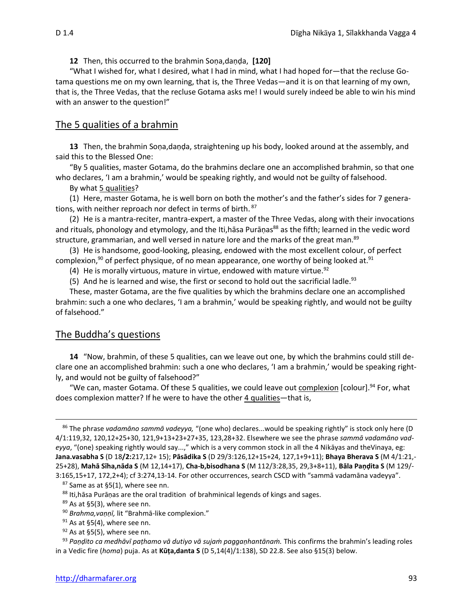**12** Then, this occurred to the brahmin Soṇa,daṇḍa, **[120]** 

"What I wished for, what I desired, what I had in mind, what I had hoped for—that the recluse Gotama questions me on my own learning, that is, the Three Vedas—and it is on that learning of my own, that is, the Three Vedas, that the recluse Gotama asks me! I would surely indeed be able to win his mind with an answer to the question!"

#### The 5 qualities of a brahmin

**13** Then, the brahmin Soṇa,daṇḍa, straightening up his body, looked around at the assembly, and said this to the Blessed One:

"By 5 qualities, master Gotama, do the brahmins declare one an accomplished brahmin, so that one who declares, 'I am a brahmin,' would be speaking rightly, and would not be guilty of falsehood.

By what 5 qualities?

(1) Here, master Gotama, he is well born on both the mother's and the father's sides for 7 generations, with neither reproach nor defect in terms of birth.  $87$ 

(2) He is a mantra-reciter, mantra-expert, a master of the Three Vedas, along with their invocations and rituals, phonology and etymology, and the Iti,hasa Puranas<sup>88</sup> as the fifth; learned in the vedic word structure, grammarian, and well versed in nature lore and the marks of the great man.<sup>89</sup>

(3) He is handsome, good-looking, pleasing, endowed with the most excellent colour, of perfect complexion,<sup>90</sup> of perfect physique, of no mean appearance, one worthy of being looked at.<sup>91</sup>

(4) He is morally virtuous, mature in virtue, endowed with mature virtue.<sup>92</sup>

(5) And he is learned and wise, the first or second to hold out the sacrificial ladle.<sup>93</sup>

These, master Gotama, are the five qualities by which the brahmins declare one an accomplished brahmin: such a one who declares, 'I am a brahmin,' would be speaking rightly, and would not be guilty of falsehood."

#### The Buddha's questions

**14** "Now, brahmin, of these 5 qualities, can we leave out one, by which the brahmins could still declare one an accomplished brahmin: such a one who declares, 'I am a brahmin,' would be speaking rightly, and would not be guilty of falsehood?"

"We can, master Gotama. Of these 5 qualities, we could leave out complexion [colour].<sup>94</sup> For, what does complexion matter? If he were to have the other 4 qualities—that is,

<sup>86</sup> The phrase *vadamāno sammā vadeyya,* "(one who) declares...would be speaking rightly" is stock only here (D 4/1:119,32, 120,12+25+30, 121,9+13+23+27+35, 123,28+32. Elsewhere we see the phrase *sammā vadamāno vadeyya*, "(one) speaking rightly would say...," which is a very common stock in all the 4 Nikāyas and theVinaya, eg: **Jana.vasabha S** (D 18**/2:**217,12+ 15); **Pāsādika S** (D 29/3:126,12+15+24, 127,1+9+11); **Bhaya Bherava S** (M 4/1:21,- 25+28), **Mahā Sīha,nāda S** (M 12,14+17), **Cha-b,bisodhana S** (M 112/3:28,35, 29,3+8+11), **Bāla Paṇḍita S** (M 129/- 3:165,15+17, 172,2+4); cf 3:274,13-14. For other occurrences, search CSCD with "sammā vadamāna vadeyya".

 $87$  Same as at §5(1), where see nn.

<sup>88</sup> Iti, hasa Puranas are the oral tradition of brahminical legends of kings and sages.

 $89$  As at §5(3), where see nn.

<sup>90</sup> *Brahma,vaṇṇī,* lit "Brahmā-like complexion."

 $91$  As at §5(4), where see nn.

 $92$  As at §5(5), where see nn.

<sup>93</sup> *Paṇḍito ca medhāvī paṭhamo vā dutiyo vā sujaṁ paggaṇhantānaṁ.* This confirms the brahmin's leading roles in a Vedic fire (*homa*) puja. As at **Kūṭa,danta S** (D 5,14(4)/1:138), SD 22.8. See also §15(3) below.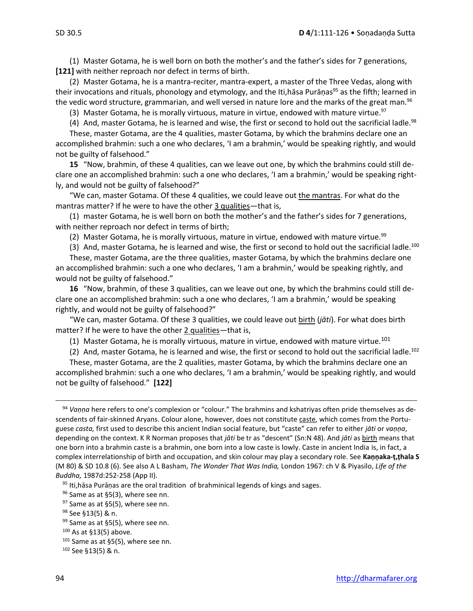(1) Master Gotama, he is well born on both the mother's and the father's sides for 7 generations, **[121]** with neither reproach nor defect in terms of birth.

(2) Master Gotama, he is a mantra-reciter, mantra-expert, a master of the Three Vedas, along with their invocations and rituals, phonology and etymology, and the Iti,hāsa Purāṇas<sup>95</sup> as the fifth; learned in the vedic word structure, grammarian, and well versed in nature lore and the marks of the great man.<sup>96</sup>

(3) Master Gotama, he is morally virtuous, mature in virtue, endowed with mature virtue.<sup>97</sup>

(4) And, master Gotama, he is learned and wise, the first or second to hold out the sacrificial ladle.<sup>98</sup>

These, master Gotama, are the 4 qualities, master Gotama, by which the brahmins declare one an accomplished brahmin: such a one who declares, 'I am a brahmin,' would be speaking rightly, and would not be guilty of falsehood."

**15** "Now, brahmin, of these 4 qualities, can we leave out one, by which the brahmins could still declare one an accomplished brahmin: such a one who declares, 'I am a brahmin,' would be speaking rightly, and would not be guilty of falsehood?"

"We can, master Gotama. Of these 4 qualities, we could leave out the mantras. For what do the mantras matter? If he were to have the other 3 qualities—that is,

(1) master Gotama, he is well born on both the mother's and the father's sides for 7 generations, with neither reproach nor defect in terms of birth;

(2) Master Gotama, he is morally virtuous, mature in virtue, endowed with mature virtue.<sup>99</sup>

(3) And, master Gotama, he is learned and wise, the first or second to hold out the sacrificial ladle.<sup>100</sup>

These, master Gotama, are the three qualities, master Gotama, by which the brahmins declare one an accomplished brahmin: such a one who declares, 'I am a brahmin,' would be speaking rightly, and would not be guilty of falsehood."

**16** "Now, brahmin, of these 3 qualities, can we leave out one, by which the brahmins could still declare one an accomplished brahmin: such a one who declares, 'I am a brahmin,' would be speaking rightly, and would not be guilty of falsehood?"

"We can, master Gotama. Of these 3 qualities, we could leave out birth (*jāti*). For what does birth matter? If he were to have the other 2 qualities—that is,

(1) Master Gotama, he is morally virtuous, mature in virtue, endowed with mature virtue.<sup>101</sup>

(2) And, master Gotama, he is learned and wise, the first or second to hold out the sacrificial ladle.<sup>102</sup>

These, master Gotama, are the 2 qualities, master Gotama, by which the brahmins declare one an accomplished brahmin: such a one who declares, 'I am a brahmin,' would be speaking rightly, and would not be guilty of falsehood." **[122]**

 $95$  Iti, has a Puranas are the oral tradition of brahminical legends of kings and sages.

96 Same as at §5(3), where see nn.

 $97$  Same as at §5(5), where see nn.

<sup>102</sup> See §13(5) & n.

<sup>94</sup> *Vaṇṇa* here refers to one's complexion or "colour." The brahmins and kshatriyas often pride themselves as descendents of fair-skinned Aryans. Colour alone, however, does not constitute caste, which comes from the Portuguese *casta,* first used to describe this ancient Indian social feature, but "caste" can refer to either *jāti* or *vaṇṇa*, depending on the context. K R Norman proposes that *jāti* be tr as "descent" (Sn:N 48). And *jāti* as birth means that one born into a brahmin caste is a brahmin, one born into a low caste is lowly. Caste in ancient India is, in fact, a complex interrelationship of birth and occupation, and skin colour may play a secondary role. See **Kaṇṇaka-ṭ,ṭhala S**  (M 80) & SD 10.8 (6). See also A L Basham, *The Wonder That Was India,* London 1967: ch V & Piyasilo, *Life of the Buddha,* 1987d:252-258 (App II).

<sup>98</sup> See §13(5) & n.

<sup>99</sup> Same as at §5(5), where see nn.

 $100$  As at §13(5) above.

 $101$  Same as at §5(5), where see nn.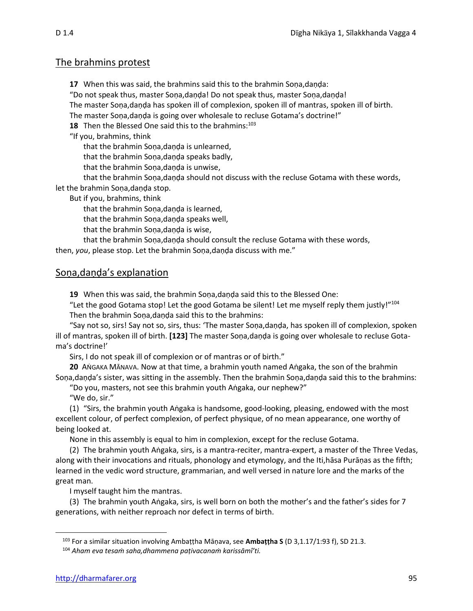## The brahmins protest

**17** When this was said, the brahmins said this to the brahmin Soṇa,daṇḍa:

"Do not speak thus, master Soṇa,daṇḍa! Do not speak thus, master Soṇa,daṇḍa!

The master Soṇa,daṇḍa has spoken ill of complexion, spoken ill of mantras, spoken ill of birth.

The master Sona,danda is going over wholesale to recluse Gotama's doctrine!"

**18** Then the Blessed One said this to the brahmins:<sup>103</sup>

"If you, brahmins, think

that the brahmin Soṇa,daṇḍa is unlearned,

that the brahmin Soṇa,daṇḍa speaks badly,

that the brahmin Soṇa,daṇḍa is unwise,

that the brahmin Soṇa,daṇḍa should not discuss with the recluse Gotama with these words, let the brahmin Soṇa,daṇḍa stop.

But if you, brahmins, think

that the brahmin Soṇa,daṇḍa is learned,

that the brahmin Soṇa,daṇḍa speaks well,

that the brahmin Soṇa,daṇḍa is wise,

that the brahmin Sona,danda should consult the recluse Gotama with these words,

then, *you*, please stop. Let the brahmin Soṇa,daṇḍa discuss with me."

# Soṇa,daṇḍa's explanation

**19** When this was said, the brahmin Soṇa,daṇḍa said this to the Blessed One:

"Let the good Gotama stop! Let the good Gotama be silent! Let me myself reply them justly!"<sup>104</sup> Then the brahmin Sona,danda said this to the brahmins:

"Say not so, sirs! Say not so, sirs, thus: 'The master Soṇa,daṇḍa, has spoken ill of complexion, spoken ill of mantras, spoken ill of birth. **[123]** The master Soṇa,daṇḍa is going over wholesale to recluse Gotama's doctrine!'

Sirs, I do not speak ill of complexion or of mantras or of birth."

20 ANGAKA MĀNAVA. Now at that time, a brahmin youth named Aṅgaka, the son of the brahmin Soṇa,daṇḍa's sister, was sitting in the assembly. Then the brahmin Soṇa,daṇḍa said this to the brahmins:

"Do you, masters, not see this brahmin youth Aṅgaka, our nephew?"

"We do, sir."

(1) "Sirs, the brahmin youth Aṅgaka is handsome, good-looking, pleasing, endowed with the most excellent colour, of perfect complexion, of perfect physique, of no mean appearance, one worthy of being looked at.

None in this assembly is equal to him in complexion, except for the recluse Gotama.

(2) The brahmin youth Aṅgaka, sirs, is a mantra-reciter, mantra-expert, a master of the Three Vedas, along with their invocations and rituals, phonology and etymology, and the Iti,hāsa Purāṇas as the fifth; learned in the vedic word structure, grammarian, and well versed in nature lore and the marks of the great man.

I myself taught him the mantras.

(3) The brahmin youth Aṅgaka, sirs, is well born on both the mother's and the father's sides for 7 generations, with neither reproach nor defect in terms of birth.

<sup>103</sup> For a similar situation involving Ambaṭṭha Māṇava, see **Ambaṭṭha S** (D 3,1.17/1:93 f), SD 21.3.

<sup>104</sup> *Aham eva tesaṁ saha,dhammena paṭivacanaṁ karissāmî'ti.*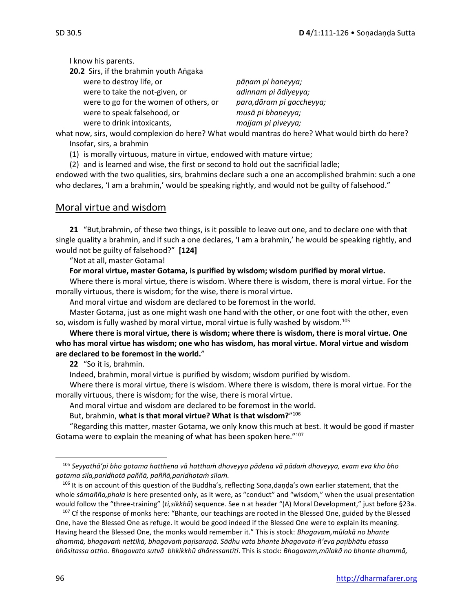I know his parents.

**20.2** Sirs, if the brahmin youth Aṅgaka were to destroy life, or *pāṇam pi haneyya;* were to take the not-given, or *adinnam pi ādiyeyya;*  were to go for the women of others, or *para,dāram pi gaccheyya;* were to speak falsehood, or *musā pi bhaṇeyya;* were to drink intoxicants, *majjam pi piveyya;*

what now, sirs, would complexion do here? What would mantras do here? What would birth do here? Insofar, sirs, a brahmin

(1) is morally virtuous, mature in virtue, endowed with mature virtue;

(2) and is learned and wise, the first or second to hold out the sacrificial ladle;

endowed with the two qualities, sirs, brahmins declare such a one an accomplished brahmin: such a one who declares, 'I am a brahmin,' would be speaking rightly, and would not be guilty of falsehood."

# Moral virtue and wisdom

**21** "But,brahmin, of these two things, is it possible to leave out one, and to declare one with that single quality a brahmin, and if such a one declares, 'I am a brahmin,' he would be speaking rightly, and would not be guilty of falsehood?" **[124]**

"Not at all, master Gotama!

**For moral virtue, master Gotama, is purified by wisdom; wisdom purified by moral virtue.**

Where there is moral virtue, there is wisdom. Where there is wisdom, there is moral virtue. For the morally virtuous, there is wisdom; for the wise, there is moral virtue.

And moral virtue and wisdom are declared to be foremost in the world.

Master Gotama, just as one might wash one hand with the other, or one foot with the other, even so, wisdom is fully washed by moral virtue, moral virtue is fully washed by wisdom.<sup>105</sup>

**Where there is moral virtue, there is wisdom; where there is wisdom, there is moral virtue. One who has moral virtue has wisdom; one who has wisdom, has moral virtue. Moral virtue and wisdom are declared to be foremost in the world.**"

**22** "So it is, brahmin.

Indeed, brahmin, moral virtue is purified by wisdom; wisdom purified by wisdom.

Where there is moral virtue, there is wisdom. Where there is wisdom, there is moral virtue. For the morally virtuous, there is wisdom; for the wise, there is moral virtue.

And moral virtue and wisdom are declared to be foremost in the world.

But, brahmin, **what is that moral virtue? What is that wisdom?**" 106

"Regarding this matter, master Gotama, we only know this much at best. It would be good if master Gotama were to explain the meaning of what has been spoken here."<sup>107</sup>

<sup>105</sup> *Seyyathā'pi bho gotama hatthena vā hatthaṁ dhoveyya pādena vā pādaṁ dhoveyya, evam eva kho bho gotama sīla,paridhotā paññā, paññā,paridhotaṁ sīlaṁ.*

<sup>&</sup>lt;sup>106</sup> It is on account of this question of the Buddha's, reflecting Soṇa,daṇḍa's own earlier statement, that the whole *sāmañña,phala* is here presented only, as it were, as "conduct" and "wisdom," when the usual presentation would follow the "three-training" (*ti,sikkhā*) sequence. See n at header "(A) Moral Development," just before §23a.

<sup>&</sup>lt;sup>107</sup> Cf the response of monks here: "Bhante, our teachings are rooted in the Blessed One, guided by the Blessed One, have the Blessed One as refuge. It would be good indeed if the Blessed One were to explain its meaning. Having heard the Blessed One, the monks would remember it." This is stock: *Bhagavam,mūlakā no bhante dhammā, bhagavaṁ nettikā, bhagavaṁ paisaraṇā. Sādhu vata bhante bhagavata-ñ'eva paibhātu etassa bhāsitassa attho. Bhagavato sutvā bhkikkhū dhāressantîti*. This is stock: *Bhagavam,mūlakā no bhante dhammā,*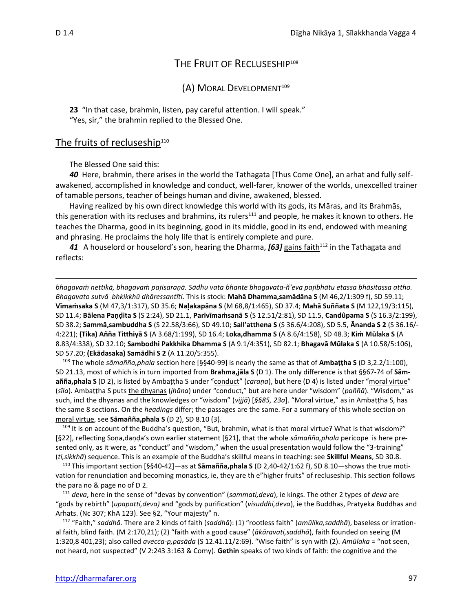# THE FRUIT OF RECLUSESHIP<sup>108</sup>

#### (A) MORAL DEVELOPMENT<sup>109</sup>

**23** "In that case, brahmin, listen, pay careful attention. I will speak." "Yes, sir," the brahmin replied to the Blessed One.

#### The fruits of recluseship<sup>110</sup>

The Blessed One said this:

*40* Here, brahmin, there arises in the world the Tathagata [Thus Come One], an arhat and fully selfawakened, accomplished in knowledge and conduct, well-farer, knower of the worlds, unexcelled trainer of tamable persons, teacher of beings human and divine, awakened, blessed.

Having realized by his own direct knowledge this world with its gods, its Māras, and its Brahmās, this generation with its recluses and brahmins, its rulers<sup>111</sup> and people, he makes it known to others. He teaches the Dharma, good in its beginning, good in its middle, good in its end, endowed with meaning and phrasing. He proclaims the holy life that is entirely complete and pure.

41 A houselord or houselord's son, hearing the Dharma, **[63]** gains faith<sup>112</sup> in the Tathagata and reflects:

*bhagavaṁ nettikā, bhagavaṁ paisaraṇā. Sādhu vata bhante bhagavata-ñ'eva paibhātu etassa bhāsitassa attho. Bhagavato sutvā bhkikkhū dhāressantîti*. This is stock: **Mahā Dhamma,samādāna S** (M 46,2/1:309 f), SD 59.11; **Vīmaṁsaka S** (M 47,3/1:317), SD 35.6; **Naakapāna S** (M 68,8/1:465), SD 37.4; **Mahā Suññata S** (M 122,19/3:115), SD 11.4; **Bālena Paṇḍita S** (S 2:24), SD 21.1, **Parivīmaṁsanā S** (S 12.51/2:81), SD 11.5, **Candûpama S** (S 16.3/2:199), SD 38.2; **Sammā,sambuddha S** (S 22.58/3:66), SD 49.10; **Sall'atthena S** (S 36.6/4:208), SD 5.5, **Ānanda S 2** (S 36.16/- 4:221); **(Tika) Añña Titthiyā S** (A 3.68/1:199), SD 16.4; **Loka,dhamma S** (A 8.6/4:158), SD 48.3; **Kiṁ Mūlaka S** (A 8.83/4:338), SD 32.10; **Sambodhi Pakkhika Dhamma S** (A 9.1/4:351), SD 82.1; **Bhagavā Mūlaka S** (A 10.58/5:106), SD 57.20; **(Ekādasaka) Samādhi S 2** (A 11.20/5:355).

<sup>108</sup> The whole *sāmañña,phala* section here [§§40-99] is nearly the same as that of **Ambaṭṭha S** (D 3,2.2/1:100), SD 21.13, most of which is in turn imported from **Brahma,jāla S** (D 1). The only difference is that §§67-74 of **Sāmañña,phala S** (D 2), is listed by Ambaṭṭha S under "conduct" (*caraṇa*), but here (D 4) is listed under "moral virtue" (*sīla*). Ambaṭṭha S puts the dhyanas (*jhāna*) under "conduct," but are here under "wisdom" (*paññā*). "Wisdom," as such, incl the dhyanas and the knowledges or "wisdom" (*vijjā*) [*§§85, 23a*]. "Moral virtue," as in Ambaṭṭha S, has the same 8 sections. On the *headings* differ; the passages are the same. For a summary of this whole section on moral virtue, see **Sāmañña,phala S** (D 2), SD 8.10 (3).

<sup>109</sup> It is on account of the Buddha's question, "<u>But, brahmin, what is that moral virtue? What is that wisdom?"</u> [§22], reflecting Soṇa,daṇḍa's own earlier statement [§21], that the whole *sāmañña,phala* pericope is here presented only, as it were, as "conduct" and "wisdom," when the usual presentation would follow the "3-training" (*ti,sikkhā*) sequence. This is an example of the Buddha's skillful means in teaching: see **Skillful Means**, SD 30.8.

<sup>110</sup> This important section [§§40-42]—as at **Sāmañña,phala S** (D 2,40-42/1:62 f), SD 8.10—shows the true motivation for renunciation and becoming monastics, ie, they are th e"higher fruits" of recluseship. This section follows the para no & page no of D 2.

<sup>111</sup> *deva*, here in the sense of "devas by convention" (*sammati,deva*), ie kings. The other 2 types of *deva* are "gods by rebirth" (*upapatti,deva)* and "gods by purification" (*visuddhi,deva*), ie the Buddhas, Pratyeka Buddhas and Arhats. (Nc 307; KhA 123). See §2, "Your majesty" n.

<sup>112</sup> "Faith," *saddhā.* There are 2 kinds of faith (*saddhā*): (1) "rootless faith" (*amūlika,saddhā*), baseless or irrational faith, blind faith. (M 2:170,21); (2) "faith with a good cause" (*ākāravati,saddhā*), faith founded on seeing (M 1:320,8 401,23); also called *avecca-p,pasāda* (S 12.41.11/2:69). "Wise faith" is syn with (2). *Amūlaka* = "not seen, not heard, not suspected" (V 2:243 3:163 & Comy). **Gethin** speaks of two kinds of faith: the cognitive and the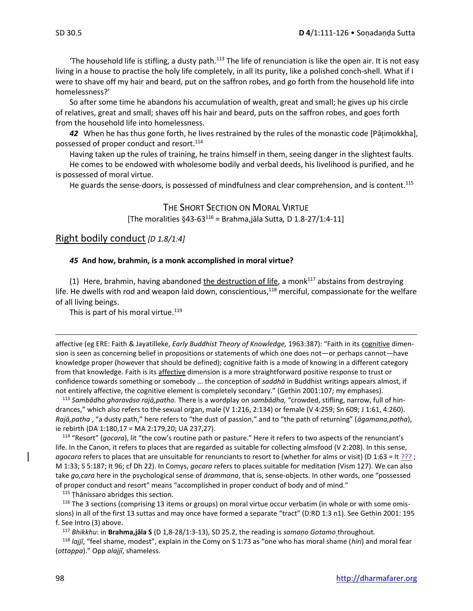The household life is stifling, a dusty path. $113$  The life of renunciation is like the open air. It is not easy living in a house to practise the holy life completely, in all its purity, like a polished conch-shell. What if I were to shave off my hair and beard, put on the saffron robes, and go forth from the household life into homelessness?'

So after some time he abandons his accumulation of wealth, great and small; he gives up his circle of relatives, great and small; shaves off his hair and beard, puts on the saffron robes, and goes forth from the household life into homelessness.

*42* When he has thus gone forth, he lives restrained by the rules of the monastic code [Pāimokkha], possessed of proper conduct and resort.<sup>114</sup>

Having taken up the rules of training, he trains himself in them, seeing danger in the slightest faults. He comes to be endowed with wholesome bodily and verbal deeds, his livelihood is purified, and he is possessed of moral virtue.

He guards the sense-doors, is possessed of mindfulness and clear comprehension, and is content.<sup>115</sup>

THE SHORT SECTION ON MORAL VIRTUE [The moralities 43-63 <sup>116</sup> = Brahma,jāla Sutta*,* D 1.8-27/1:4-11]

#### Right bodily conduct *[D 1.8/1:4]*

#### *45* **And how, brahmin, is a monk accomplished in moral virtue?**

(1) Here, brahmin, having abandoned the destruction of life, a monk $^{117}$  abstains from destroying life. He dwells with rod and weapon laid down, conscientious,<sup>118</sup> merciful, compassionate for the welfare of all living beings.

This is part of his moral virtue.<sup>119</sup>

affective (eg ERE: Faith & Jayatilleke, *Early Buddhist Theory of Knowledge,* 1963:387): "Faith in its cognitive dimension is seen as concerning belief in propositions or statements of which one does not—or perhaps cannot—have knowledge proper (however that should be defined); cognitive faith is a mode of knowing in a different category from that knowledge. Faith is its affective dimension is a more straightforward positive response to trust or confidence towards something or somebody ... the conception of *saddhā* in Buddhist writings appears almost, if not entirely affective, the cognitive element is completely secondary." (Gethin 2001:107; my emphases).

<sup>113</sup> *Sambādho gharavāso rajā,patho.* There is a wordplay on *sambādha,* "crowded, stifling, narrow, full of hindrances," which also refers to the sexual organ, male (V 1:216, 2:134) or female (V 4:259; Sn 609; J 1:61, 4:260). *Rajā,patha* , "a dusty path," here refers to "the dust of passion," and to "the path of returning" (*āgamana,patha*), ie rebirth (DA 1:180,17 = MA 2:179,20; UA 237,27).

<sup>114</sup> "Resort" (*gocara*), lit "the cow's routine path or pasture." Here it refers to two aspects of the renunciant's life. In the Canon, it refers to places that are regarded as suitable for collecting almsfood (V 2:208). In this sense, *agocara* refers to places that are unsuitable for renunciants to resort to (whether for alms or visit) (D 1:63 = It ???; M 1:33; S 5:187; It 96; cf Dh 22). In Comys, *gocara* refers to places suitable for meditation (Vism 127). We can also take *go,cara* here in the psychological sense of *ārammana*, that is, sense-objects. In other words, one "possessed of proper conduct and resort" means "accomplished in proper conduct of body and of mind."

115 Thānissaro abridges this section.

<sup>116</sup> The 3 sections (comprising 13 items or groups) on moral virtue occur verbatim (in whole or with some omissions) in all of the first 13 suttas and may once have formed a separate "tract" (D:RD 1:3 n1). See Gethin 2001: 195 f. See Intro (3) above.

<sup>117</sup> *Bhikkhu*: in **Brahma,jāla S** (D 1,8-28/1:3-13), SD 25.2, the reading is *samaṇo Gotamo* throughout*.*

<sup>118</sup> *lajjī*, "feel shame, modest", explain in the Comy on S 1:73 as "one who has moral shame (*hiri*) and moral fear (*ottappa*)." Opp *alajjī*, shameless.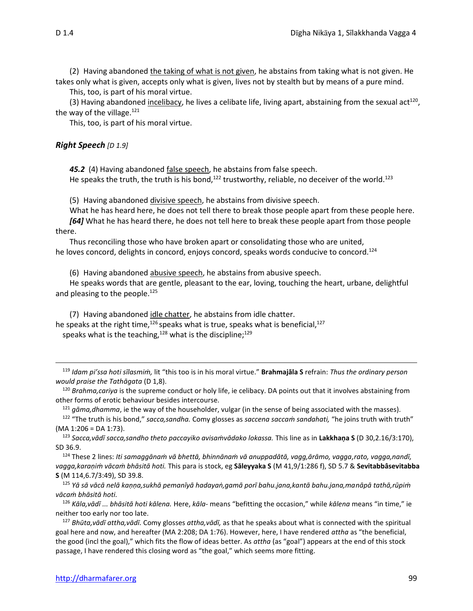(2) Having abandoned the taking of what is not given, he abstains from taking what is not given. He takes only what is given, accepts only what is given, lives not by stealth but by means of a pure mind.

This, too, is part of his moral virtue.

(3) Having abandoned incelibacy, he lives a celibate life, living apart, abstaining from the sexual act<sup>120</sup>, the way of the village. $121$ 

This, too, is part of his moral virtue.

#### *Right Speech [D 1.9]*

45.2 (4) Having abandoned false speech, he abstains from false speech.

He speaks the truth, the truth is his bond,<sup>122</sup> trustworthy, reliable, no deceiver of the world.<sup>123</sup>

(5) Having abandoned divisive speech, he abstains from divisive speech.

What he has heard here, he does not tell there to break those people apart from these people here. *[64]* What he has heard there, he does not tell here to break these people apart from those people

there.

Thus reconciling those who have broken apart or consolidating those who are united, he loves concord, delights in concord, enjoys concord, speaks words conducive to concord.<sup>124</sup>

(6) Having abandoned abusive speech, he abstains from abusive speech.

He speaks words that are gentle, pleasant to the ear, loving, touching the heart, urbane, delightful and pleasing to the people.<sup>125</sup>

(7) Having abandoned idle chatter, he abstains from idle chatter. he speaks at the right time,  $126$  speaks what is true, speaks what is beneficial,  $127$ speaks what is the teaching,<sup>128</sup> what is the discipline;<sup>129</sup>

<sup>119</sup> *Idam pi'ssa hoti sīlasmiṁ,* lit "this too is in his moral virtue." **Brahmajāla S** refrain: *Thus the ordinary person would praise the Tathāgata* (D 1,8).

<sup>120</sup> *Brahma,cariya* is the supreme conduct or holy life, ie celibacy. DA points out that it involves abstaining from other forms of erotic behaviour besides intercourse.

<sup>121</sup> *gāma,dhamma*, ie the way of the householder, vulgar (in the sense of being associated with the masses).

<sup>122</sup> "The truth is his bond," *sacca,sandha.* Comy glosses as *saccena saccaṁ sandahati,* "he joins truth with truth" (MA 1:206 = DA 1:73).

<sup>123</sup> *Sacca,vādī sacca,sandho theto paccayiko avisaṁvādako lokassa.* This line as in **Lakkhaṇa S** (D 30,2.16/3:170), SD 36.9.

<sup>124</sup> These 2 lines: *Iti samaggānaṁ vā bhettā, bhinnānaṁ vā anuppadātā, vagg,ārāmo, vagga,rato, vagga,nandī, vagga,karaṇiṁ vācaṁ bhāsitā hoti.* This para is stock, eg **Sāleyyaka S** (M 41,9/1:286 f), SD 5.7 & **Sevitabbâsevitabba S** (M 114,6.7/3:49), SD 39.8.

<sup>125</sup> *Yā sā vācā nelā kaṇṇa,sukhā pemanīyā hadayaṅ,gamā porī bahu.jana,kantā bahu.jana,manāpā tathā,rūpiṁ vācaṁ bhāsitā hoti.*

<sup>126</sup> *Kāla,vādī ... bhāsitā hoti kālena.* Here, *kāla-* means "befitting the occasion," while *kālena* means "in time," ie neither too early nor too late.

<sup>127</sup> *Bhūta,vādī attha,vādī.* Comy glosses *attha,vādī,* as that he speaks about what is connected with the spiritual goal here and now, and hereafter (MA 2:208; DA 1:76). However, here, I have rendered *attha* as "the beneficial, the good (incl the goal)," which fits the flow of ideas better. As *attha* (as "goal") appears at the end of this stock passage, I have rendered this closing word as "the goal," which seems more fitting.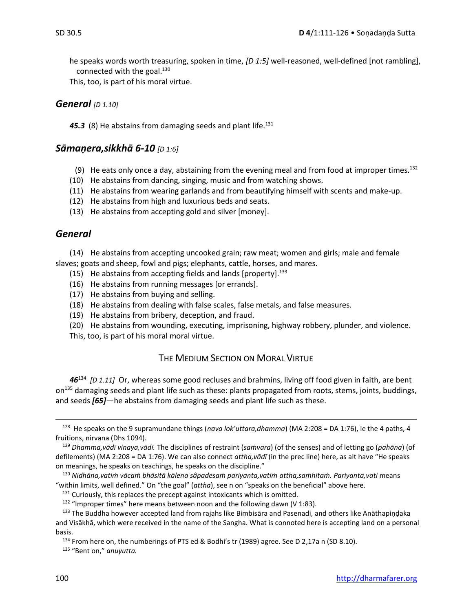he speaks words worth treasuring, spoken in time, *[D 1:5]* well-reasoned, well-defined [not rambling], connected with the goal. $130$ 

This, too, is part of his moral virtue.

#### *General* [D 1.10]

45.3 (8) He abstains from damaging seeds and plant life.<sup>131</sup>

## *Sāmaṇera,sikkhā 6-10 [D 1:6]*

- (9) He eats only once a day, abstaining from the evening meal and from food at improper times.<sup>132</sup>
- (10) He abstains from dancing, singing, music and from watching shows.
- (11) He abstains from wearing garlands and from beautifying himself with scents and make-up.
- (12) He abstains from high and luxurious beds and seats.
- (13) He abstains from accepting gold and silver [money].

## *General*

(14) He abstains from accepting uncooked grain; raw meat; women and girls; male and female slaves; goats and sheep, fowl and pigs; elephants, cattle, horses, and mares.

- (15) He abstains from accepting fields and lands [property].  $^{133}$
- (16) He abstains from running messages [or errands].
- (17) He abstains from buying and selling.
- (18) He abstains from dealing with false scales, false metals, and false measures.
- (19) He abstains from bribery, deception, and fraud.
- (20) He abstains from wounding, executing, imprisoning, highway robbery, plunder, and violence.

This, too, is part of his moral moral virtue.

## THE MEDIUM SECTION ON MORAL VIRTUE

*46*<sup>134</sup> *[D 1.11]* Or, whereas some good recluses and brahmins, living off food given in faith, are bent on<sup>135</sup> damaging seeds and plant life such as these: plants propagated from roots, stems, joints, buddings, and seeds *[65]*—he abstains from damaging seeds and plant life such as these.

<sup>135</sup> "Bent on," *anuyutta.*

<sup>128</sup> He speaks on the 9 supramundane things (*nava lok'uttara,dhamma*) (MA 2:208 = DA 1:76), ie the 4 paths, 4 fruitions, nirvana (Dhs 1094).

<sup>129</sup> *Dhamma,vādī vinaya,vādī.* The disciplines of restraint (*saṁvara*) (of the senses) and of letting go (*pahāna*) (of defilements) (MA 2:208 = DA 1:76). We can also connect *attha,vādī* (in the prec line) here, as alt have "He speaks on meanings, he speaks on teachings, he speaks on the discipline."

<sup>130</sup> *Nidhāna,vatiṁ vācaṁ bhāsitā kālena sâpadesaṁ pariyanta,vatiṁ attha,saṁhitaṁ. Pariyanta,vati* means "within limits, well defined." On "the goal" (*attha*), see n on "speaks on the beneficial" above here.

 $131$  Curiously, this replaces the precept against intoxicants which is omitted.

<sup>&</sup>lt;sup>132</sup> "Improper times" here means between noon and the following dawn (V 1:83).

<sup>133</sup> The Buddha however accepted land from rajahs like Bimbisāra and Pasenadi, and others like Anāthapiṇḍaka and Visākhā, which were received in the name of the Sangha. What is connoted here is accepting land on a personal basis.

<sup>&</sup>lt;sup>134</sup> From here on, the numberings of PTS ed & Bodhi's tr (1989) agree. See D 2,17a n (SD 8.10).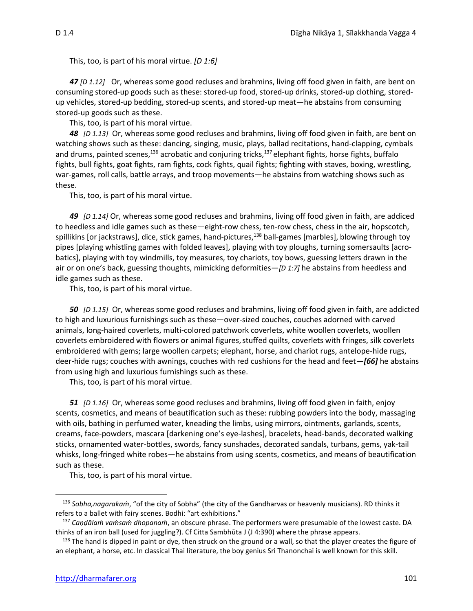This, too, is part of his moral virtue. *[D 1:6]*

*47 [D 1.12]* Or, whereas some good recluses and brahmins, living off food given in faith, are bent on consuming stored-up goods such as these: stored-up food, stored-up drinks, stored-up clothing, storedup vehicles, stored-up bedding, stored-up scents, and stored-up meat—he abstains from consuming stored-up goods such as these.

This, too, is part of his moral virtue.

*48 [D 1.13]* Or, whereas some good recluses and brahmins, living off food given in faith, are bent on watching shows such as these: dancing, singing, music, plays, ballad recitations, hand-clapping, cymbals and drums, painted scenes,<sup>136</sup> acrobatic and conjuring tricks,<sup>137</sup> elephant fights, horse fights, buffalo fights, bull fights, goat fights, ram fights, cock fights, quail fights; fighting with staves, boxing, wrestling, war-games, roll calls, battle arrays, and troop movements—he abstains from watching shows such as these.

This, too, is part of his moral virtue.

*49 [D 1.14]* Or, whereas some good recluses and brahmins, living off food given in faith, are addiced to heedless and idle games such as these—eight-row chess, ten-row chess, chess in the air, hopscotch, spillikins [or jackstraws], dice, stick games, hand-pictures,<sup>138</sup> ball-games [marbles], blowing through toy pipes [playing whistling games with folded leaves], playing with toy ploughs, turning somersaults [acrobatics], playing with toy windmills, toy measures, toy chariots, toy bows, guessing letters drawn in the air or on one's back, guessing thoughts, mimicking deformities—*[D 1:7]* he abstains from heedless and idle games such as these.

This, too, is part of his moral virtue.

*50 [D 1.15]* Or, whereas some good recluses and brahmins, living off food given in faith, are addicted to high and luxurious furnishings such as these—over-sized couches, couches adorned with carved animals, long-haired coverlets, multi-colored patchwork coverlets, white woollen coverlets, woollen coverlets embroidered with flowers or animal figures, stuffed quilts, coverlets with fringes, silk coverlets embroidered with gems; large woollen carpets; elephant, horse, and chariot rugs, antelope-hide rugs, deer-hide rugs; couches with awnings, couches with red cushions for the head and feet*—[66]* he abstains from using high and luxurious furnishings such as these.

This, too, is part of his moral virtue.

*51 [D 1.16]* Or, whereas some good recluses and brahmins, living off food given in faith, enjoy scents, cosmetics, and means of beautification such as these: rubbing powders into the body, massaging with oils, bathing in perfumed water, kneading the limbs, using mirrors, ointments, garlands, scents, creams, face-powders, mascara [darkening one's eye-lashes], bracelets, head-bands, decorated walking sticks, ornamented water-bottles, swords, fancy sunshades, decorated sandals, turbans, gems, yak-tail whisks, long-fringed white robes—he abstains from using scents, cosmetics, and means of beautification such as these.

This, too, is part of his moral virtue.

<sup>136</sup> *Sobha,nagarakaṁ*, "of the city of Sobha" (the city of the Gandharvas or heavenly musicians). RD thinks it refers to a ballet with fairy scenes. Bodhi: "art exhibitions."

<sup>137</sup> *Caṇḍālaṁ vaṁsaṁ dhopanaṁ*, an obscure phrase. The performers were presumable of the lowest caste. DA thinks of an iron ball (used for juggling?). Cf Citta Sambhūta J (J 4:390) where the phrase appears.

 $138$  The hand is dipped in paint or dye, then struck on the ground or a wall, so that the player creates the figure of an elephant, a horse, etc. In classical Thai literature, the boy genius Sri Thanonchai is well known for this skill.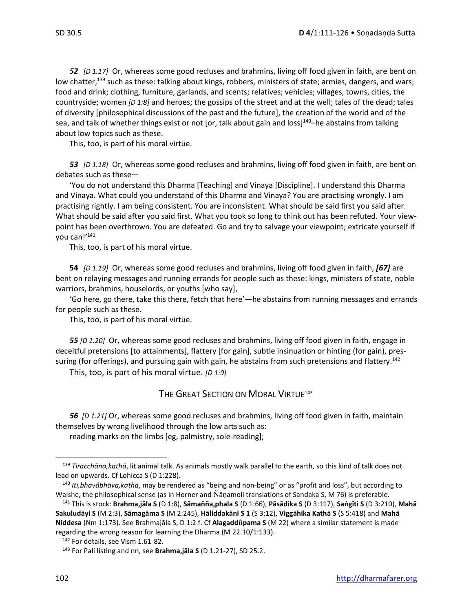*52 [D 1.17]* Or, whereas some good recluses and brahmins, living off food given in faith, are bent on low chatter,<sup>139</sup> such as these: talking about kings, robbers, ministers of state; armies, dangers, and wars; food and drink; clothing, furniture, garlands, and scents; relatives; vehicles; villages, towns, cities, the countryside; women *[D 1:8]* and heroes; the gossips of the street and at the well; tales of the dead; tales of diversity [philosophical discussions of the past and the future], the creation of the world and of the sea, and talk of whether things exist or not [or, talk about gain and loss]<sup>140</sup>–he abstains from talking about low topics such as these.

This, too, is part of his moral virtue.

*53 [D 1.18]* Or, whereas some good recluses and brahmins, living off food given in faith, are bent on debates such as these—

'You do not understand this Dharma [Teaching] and Vinaya [Discipline]. I understand this Dharma and Vinaya. What could you understand of this Dharma and Vinaya? You are practising wrongly. I am practising rightly. I am being consistent. You are inconsistent. What should be said first you said after. What should be said after you said first. What you took so long to think out has been refuted. Your viewpoint has been overthrown. You are defeated. Go and try to salvage your viewpoint; extricate yourself if you can!'<sup>141</sup>

This, too, is part of his moral virtue.

**54** *[D 1.19]* Or, whereas some good recluses and brahmins, living off food given in faith, *[67]* are bent on relaying messages and running errands for people such as these: kings, ministers of state, noble warriors, brahmins, houselords, or youths [who say],

'Go here, go there, take this there, fetch that here'—he abstains from running messages and errands for people such as these.

This, too, is part of his moral virtue.

*55 [D 1.20]* Or, whereas some good recluses and brahmins, living off food given in faith, engage in deceitful pretensions [to attainments], flattery [for gain], subtle insinuation or hinting (for gain), pressuring (for offerings), and pursuing gain with gain, he abstains from such pretensions and flattery.<sup>142</sup>

This, too, is part of his moral virtue. *[D 1:9]*

#### THE GREAT SECTION ON MORAL VIRTUE<sup>143</sup>

*56 [D 1.21]* Or, whereas some good recluses and brahmins, living off food given in faith, maintain themselves by wrong livelihood through the low arts such as:

reading marks on the limbs [eg, palmistry, sole-reading];

<sup>139</sup> *Tiracchāna,kathā*, lit animal talk. As animals mostly walk parallel to the earth, so this kind of talk does not lead on upwards. Cf Lohicca S (D 1:228).

<sup>140</sup> *Iti,bhavâbhāva,kathā*, may be rendered as "being and non-being" or as "profit and loss", but according to Walshe, the philosophical sense (as in Horner and Ñāṇamoli translations of Sandaka S, M 76) is preferable.

 $141$  This is stock: Brahma,jāla S (D 1:8), Sāmañña,phala S (D 1:66), Pāsādika S (D 3:117), Saṅgīti S (D 3:210), Mahā Sakuludāyi S (M 2:3), Sāmagāma S (M 2:245), Hāliddakāni S 1 (S 3:12), Viggāhika Kathā S (S 5:418) and Mahā **Niddesa** (Nm 1:173). See Brahmajāla S, D 1:2 f. Cf **Alagaddpama S** (M 22) where a similar statement is made regarding the wrong reason for learning the Dharma (M 22.10/1:133).

<sup>&</sup>lt;sup>142</sup> For details, see Vism 1.61-82.

<sup>143</sup> For Pali listing and nn, see **Brahma,jāla S** (D 1.21-27), SD 25.2.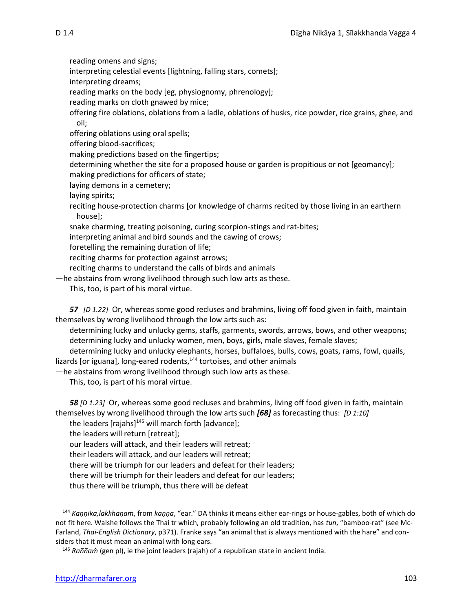reading omens and signs;

interpreting celestial events [lightning, falling stars, comets];

interpreting dreams;

reading marks on the body [eg, physiognomy, phrenology];

reading marks on cloth gnawed by mice;

offering fire oblations, oblations from a ladle, oblations of husks, rice powder, rice grains, ghee, and oil;

offering oblations using oral spells;

offering blood-sacrifices;

making predictions based on the fingertips;

determining whether the site for a proposed house or garden is propitious or not [geomancy];

making predictions for officers of state;

laying demons in a cemetery;

laying spirits;

reciting house-protection charms [or knowledge of charms recited by those living in an earthern house];

snake charming, treating poisoning, curing scorpion-stings and rat-bites;

interpreting animal and bird sounds and the cawing of crows;

foretelling the remaining duration of life;

reciting charms for protection against arrows;

reciting charms to understand the calls of birds and animals

—he abstains from wrong livelihood through such low arts as these.

This, too, is part of his moral virtue.

*57 [D 1.22]* Or, whereas some good recluses and brahmins, living off food given in faith, maintain themselves by wrong livelihood through the low arts such as:

determining lucky and unlucky gems, staffs, garments, swords, arrows, bows, and other weapons; determining lucky and unlucky women, men, boys, girls, male slaves, female slaves;

determining lucky and unlucky elephants, horses, buffaloes, bulls, cows, goats, rams, fowl, quails, lizards [or iguana], long-eared rodents,<sup>144</sup> tortoises, and other animals

—he abstains from wrong livelihood through such low arts as these.

This, too, is part of his moral virtue.

*58 [D 1.23]* Or, whereas some good recluses and brahmins, living off food given in faith, maintain themselves by wrong livelihood through the low arts such *[68]* as forecasting thus: *[D 1:10]*

the leaders [rajahs]<sup>145</sup> will march forth [advance];

the leaders will return [retreat];

our leaders will attack, and their leaders will retreat;

their leaders will attack, and our leaders will retreat;

there will be triumph for our leaders and defeat for their leaders;

there will be triumph for their leaders and defeat for our leaders;

thus there will be triumph, thus there will be defeat

<sup>144</sup> *Kaṇṇika,lakkhaṇaṁ*, from *kaṇṇa*, "ear." DA thinks it means either ear-rings or house-gables, both of which do not fit here. Walshe follows the Thai tr which, probably following an old tradition, has *tun*, "bamboo-rat" (see Mc-Farland, *Thai-English Dictionary*, p371). Franke says "an animal that is always mentioned with the hare" and considers that it must mean an animal with long ears.

<sup>145</sup> *Raññaṁ* (gen pl), ie the joint leaders (rajah) of a republican state in ancient India.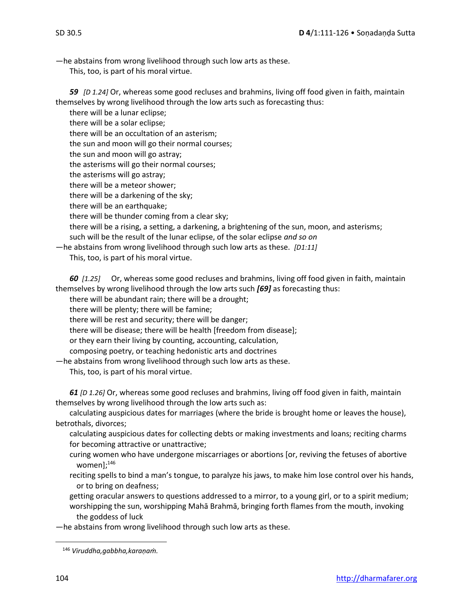—he abstains from wrong livelihood through such low arts as these.

This, too, is part of his moral virtue.

*59 [D 1.24]* Or, whereas some good recluses and brahmins, living off food given in faith, maintain themselves by wrong livelihood through the low arts such as forecasting thus:

there will be a lunar eclipse; there will be a solar eclipse; there will be an occultation of an asterism; the sun and moon will go their normal courses; the sun and moon will go astray; the asterisms will go their normal courses; the asterisms will go astray; there will be a meteor shower; there will be a darkening of the sky; there will be an earthquake; there will be thunder coming from a clear sky; there will be a rising, a setting, a darkening, a brightening of the sun, moon, and asterisms;

such will be the result of the lunar eclipse, of the solar eclipse *and so on*

—he abstains from wrong livelihood through such low arts as these. *[D1:11]*

This, too, is part of his moral virtue.

*60**[1.25]* Or, whereas some good recluses and brahmins, living off food given in faith, maintain themselves by wrong livelihood through the low arts such *[69]* as forecasting thus:

there will be abundant rain; there will be a drought;

there will be plenty; there will be famine;

there will be rest and security; there will be danger;

there will be disease; there will be health [freedom from disease];

or they earn their living by counting, accounting, calculation,

composing poetry, or teaching hedonistic arts and doctrines

—he abstains from wrong livelihood through such low arts as these.

This, too, is part of his moral virtue.

*61 [D 1.26]* Or, whereas some good recluses and brahmins, living off food given in faith, maintain themselves by wrong livelihood through the low arts such as:

calculating auspicious dates for marriages (where the bride is brought home or leaves the house), betrothals, divorces;

calculating auspicious dates for collecting debts or making investments and loans; reciting charms for becoming attractive or unattractive;

curing women who have undergone miscarriages or abortions [or, reviving the fetuses of abortive women];<sup>146</sup>

reciting spells to bind a man's tongue, to paralyze his jaws, to make him lose control over his hands, or to bring on deafness;

getting oracular answers to questions addressed to a mirror, to a young girl, or to a spirit medium; worshipping the sun, worshipping Mahā Brahmā, bringing forth flames from the mouth, invoking the goddess of luck

—he abstains from wrong livelihood through such low arts as these.

<sup>146</sup> *Viruddha,gabbha,karaṇaṁ.*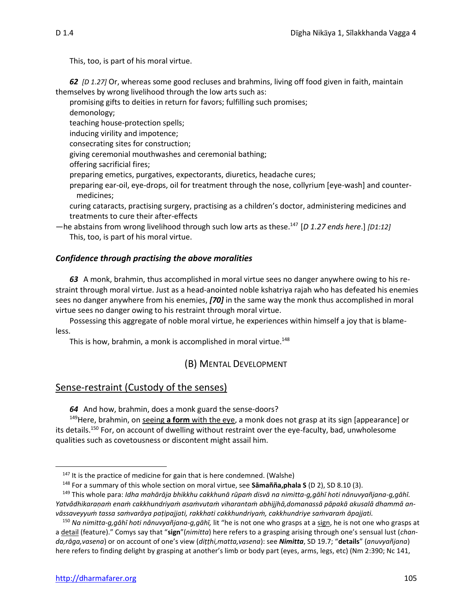This, too, is part of his moral virtue.

*62**[D 1.27]* Or, whereas some good recluses and brahmins, living off food given in faith, maintain themselves by wrong livelihood through the low arts such as:

promising gifts to deities in return for favors; fulfilling such promises;

demonology;

teaching house-protection spells;

inducing virility and impotence;

consecrating sites for construction;

giving ceremonial mouthwashes and ceremonial bathing;

offering sacrificial fires;

preparing emetics, purgatives, expectorants, diuretics, headache cures;

preparing ear-oil, eye-drops, oil for treatment through the nose, collyrium [eye-wash] and countermedicines;

curing cataracts, practising surgery, practising as a children's doctor, administering medicines and treatments to cure their after-effects

—he abstains from wrong livelihood through such low arts as these.<sup>147</sup>[*D 1.27 ends here*.] *[D1:12]* This, too, is part of his moral virtue.

## *Confidence through practising the above moralities*

*63* A monk, brahmin, thus accomplished in moral virtue sees no danger anywhere owing to his restraint through moral virtue. Just as a head-anointed noble kshatriya rajah who has defeated his enemies sees no danger anywhere from his enemies, *[70]* in the same way the monk thus accomplished in moral virtue sees no danger owing to his restraint through moral virtue.

Possessing this aggregate of noble moral virtue, he experiences within himself a joy that is blameless.

This is how, brahmin, a monk is accomplished in moral virtue.<sup>148</sup>

# (B) MENTAL DEVELOPMENT

# Sense-restraint (Custody of the senses)

*64* And how, brahmin, does a monk guard the sense-doors?

<sup>149</sup>Here, brahmin, on seeing **a form** with the eye, a monk does not grasp at its sign [appearance] or its details.<sup>150</sup> For, on account of dwelling without restraint over the eye-faculty, bad, unwholesome qualities such as covetousness or discontent might assail him.

 $147$  It is the practice of medicine for gain that is here condemned. (Walshe)

<sup>148</sup> For a summary of this whole section on moral virtue, see **Sāmañña,phala S** (D 2), SD 8.10 (3).

<sup>&</sup>lt;sup>149</sup> This whole para: Idha mahārāja bhikkhu cakkhunā rūpam disvā na nimitta-g, gāhī hoti nânuvyañjana-g, gāhī. Yatvâdhikaranam enam cakkhundriyam asamvutam viharantam abhijjhā, domanassā pāpakā akusalā dhammā an*vāssaveyyuṁ tassa saṁvarāya paṭipajjati, rakkhati cakkhundriyaṁ, cakkhundriye saṁvaraṁ āpajjati.*

<sup>150</sup> *Na nimitta-g,gāhī hoti nânuvyañjana-g,gāhī,* lit "he is not one who grasps at a sign, he is not one who grasps at a detail (feature)." Comys say that "**sign**"(*nimitta*) here refers to a grasping arising through one's sensual lust (*chanda,rāga,vasena*) or on account of one's view (*diṭṭhi,matta,vasena*): see *Nimitta*, SD 19.7; "**details**" (*anuvyañjana*) here refers to finding delight by grasping at another's limb or body part (eyes, arms, legs, etc) (Nm 2:390; Nc 141,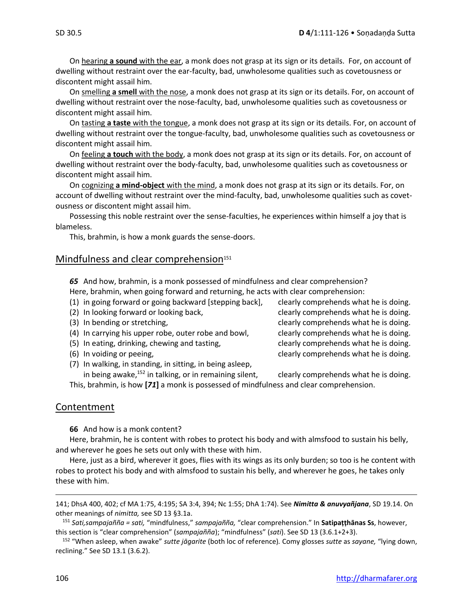On hearing **a sound** with the ear, a monk does not grasp at its sign or its details. For, on account of dwelling without restraint over the ear-faculty, bad, unwholesome qualities such as covetousness or discontent might assail him.

On smelling **a smell** with the nose, a monk does not grasp at its sign or its details. For, on account of dwelling without restraint over the nose-faculty, bad, unwholesome qualities such as covetousness or discontent might assail him.

On tasting **a taste** with the tongue, a monk does not grasp at its sign or its details. For, on account of dwelling without restraint over the tongue-faculty, bad, unwholesome qualities such as covetousness or discontent might assail him.

On feeling **a touch** with the body, a monk does not grasp at its sign or its details. For, on account of dwelling without restraint over the body-faculty, bad, unwholesome qualities such as covetousness or discontent might assail him.

On cognizing **a mind-object** with the mind, a monk does not grasp at its sign or its details. For, on account of dwelling without restraint over the mind-faculty, bad, unwholesome qualities such as covetousness or discontent might assail him.

Possessing this noble restraint over the sense-faculties, he experiences within himself a joy that is blameless.

This, brahmin, is how a monk guards the sense-doors.

#### Mindfulness and clear comprehension $151$

*65* And how, brahmin, is a monk possessed of mindfulness and clear comprehension? Here, brahmin, when going forward and returning, he acts with clear comprehension:

- (1) in going forward or going backward [stepping back], clearly comprehends what he is doing.
- 
- 
- (4) In carrying his upper robe, outer robe and bowl, clearly comprehends what he is doing.
- (5) In eating, drinking, chewing and tasting, example clearly comprehends what he is doing.
- 
- (7) In walking, in standing, in sitting, in being asleep,

(2) In looking forward or looking back, example in the intervals what he is doing. (3) In bending or stretching, the same of the clearly comprehends what he is doing. (6) In voiding or peeing, clearly comprehends what he is doing.

in being awake,<sup>152</sup> in talking, or in remaining silent, clearly comprehends what he is doing. This, brahmin, is how **[***71***]** a monk is possessed of mindfulness and clear comprehension.

#### Contentment

**66** And how is a monk content?

Here, brahmin, he is content with robes to protect his body and with almsfood to sustain his belly, and wherever he goes he sets out only with these with him.

Here, just as a bird, wherever it goes, flies with its wings as its only burden; so too is he content with robes to protect his body and with almsfood to sustain his belly, and wherever he goes, he takes only these with him.

<sup>141;</sup> DhsA 400, 402; cf MA 1:75, 4:195; SA 3:4, 394; Nc 1:55; DhA 1:74). See *Nimitta & anuvyañjana*, SD 19.14. On other meanings of *nimitta,* see SD 13 §3.1a.

<sup>151</sup> *Sati,sampajañña = sati,* "mindfulness," *sampajañña,* "clear comprehension." In **Satipaṭṭhānas Ss**, however, this section is "clear comprehension" (*sampajañña*); "mindfulness" (*sati*). See SD 13 (3.6.1+2+3).

<sup>152</sup> "When asleep, when awake" *sutte jāgarite* (both loc of reference)*.* Comy glosses *sutte* as *sayane,* "lying down, reclining." See SD 13.1 (3.6.2).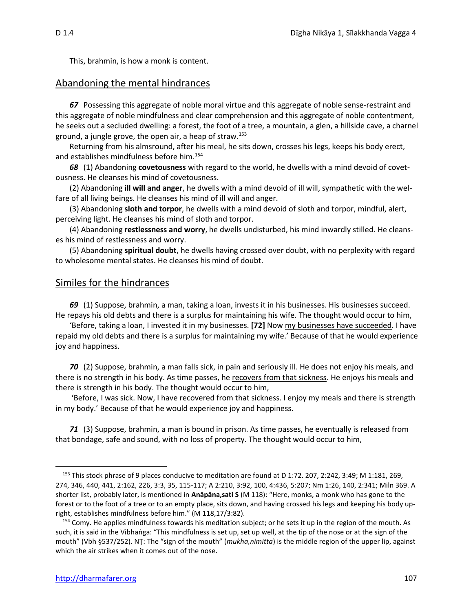This, brahmin, is how a monk is content.

#### Abandoning the mental hindrances

*67* Possessing this aggregate of noble moral virtue and this aggregate of noble sense-restraint and this aggregate of noble mindfulness and clear comprehension and this aggregate of noble contentment, he seeks out a secluded dwelling: a forest, the foot of a tree, a mountain, a glen, a hillside cave, a charnel ground, a jungle grove, the open air, a heap of straw.<sup>153</sup>

Returning from his almsround, after his meal, he sits down, crosses his legs, keeps his body erect, and establishes mindfulness before him.<sup>154</sup>

*68* (1) Abandoning **covetousness** with regard to the world, he dwells with a mind devoid of covetousness. He cleanses his mind of covetousness.

(2) Abandoning **ill will and anger**, he dwells with a mind devoid of ill will, sympathetic with the welfare of all living beings. He cleanses his mind of ill will and anger.

(3) Abandoning **sloth and torpor**, he dwells with a mind devoid of sloth and torpor, mindful, alert, perceiving light. He cleanses his mind of sloth and torpor.

(4) Abandoning **restlessness and worry**, he dwells undisturbed, his mind inwardly stilled. He cleanses his mind of restlessness and worry.

(5) Abandoning **spiritual doubt**, he dwells having crossed over doubt, with no perplexity with regard to wholesome mental states. He cleanses his mind of doubt.

#### Similes for the hindrances

*69* (1) Suppose, brahmin, a man, taking a loan, invests it in his businesses. His businesses succeed. He repays his old debts and there is a surplus for maintaining his wife. The thought would occur to him,

'Before, taking a loan, I invested it in my businesses. **[72]** Now my businesses have succeeded. I have repaid my old debts and there is a surplus for maintaining my wife.' Because of that he would experience joy and happiness.

*70* (2) Suppose, brahmin, a man falls sick, in pain and seriously ill. He does not enjoy his meals, and there is no strength in his body. As time passes, he recovers from that sickness. He enjoys his meals and there is strength in his body. The thought would occur to him,

'Before, I was sick. Now, I have recovered from that sickness. I enjoy my meals and there is strength in my body.' Because of that he would experience joy and happiness.

*71* (3) Suppose, brahmin, a man is bound in prison. As time passes, he eventually is released from that bondage, safe and sound, with no loss of property. The thought would occur to him,

<sup>&</sup>lt;sup>153</sup> This stock phrase of 9 places conducive to meditation are found at D 1:72. 207, 2:242, 3:49; M 1:181, 269, 274, 346, 440, 441, 2:162, 226, 3:3, 35, 115-117; A 2:210, 3:92, 100, 4:436, 5:207; Nm 1:26, 140, 2:341; Miln 369. A shorter list, probably later, is mentioned in **Anāpāna,sati S** (M 118): "Here, monks, a monk who has gone to the forest or to the foot of a tree or to an empty place, sits down, and having crossed his legs and keeping his body upright, establishes mindfulness before him." (M 118,17/3:82).

<sup>&</sup>lt;sup>154</sup> Comy. He applies mindfulness towards his meditation subject; or he sets it up in the region of the mouth. As such, it is said in the Vibhaṅga: "This mindfulness is set up, set up well, at the tip of the nose or at the sign of the mouth" (Vbh §537/252). NṬ: The "sign of the mouth" (*mukha,nimitta*) is the middle region of the upper lip, against which the air strikes when it comes out of the nose.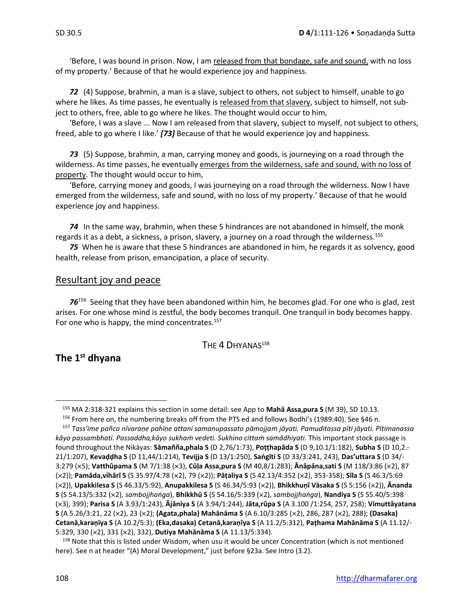'Before, I was bound in prison. Now, I am released from that bondage, safe and sound, with no loss of my property.' Because of that he would experience joy and happiness.

*72* (4) Suppose, brahmin, a man is a slave, subject to others, not subject to himself, unable to go where he likes. As time passes, he eventually is released from that slavery, subject to himself, not subject to others, free, able to go where he likes. The thought would occur to him,

'Before, I was a slave ... Now I am released from that slavery, subject to myself, not subject to others, freed, able to go where I like.' *[73]* Because of that he would experience joy and happiness.

*73* (5) Suppose, brahmin, a man, carrying money and goods, is journeying on a road through the wilderness. As time passes, he eventually emerges from the wilderness, safe and sound, with no loss of property. The thought would occur to him,

'Before, carrying money and goods, I was journeying on a road through the wilderness. Now I have emerged from the wilderness, safe and sound, with no loss of my property.' Because of that he would experience joy and happiness.

*74* In the same way, brahmin, when these 5 hindrances are not abandoned in himself, the monk regards it as a debt, a sickness, a prison, slavery, a journey on a road through the wilderness.<sup>155</sup>

*75*When he is aware that these 5 hindrances are abandoned in him, he regards it as solvency, good health, release from prison, emancipation, a place of security.

## Resultant joy and peace

76<sup>156</sup> Seeing that they have been abandoned within him, he becomes glad. For one who is glad, zest arises. For one whose mind is zestful, the body becomes tranquil. One tranquil in body becomes happy. For one who is happy, the mind concentrates. $157$ 

#### THE 4 DHYANAS<sup>158</sup>

# **The 1st dhyana**

<sup>155</sup> MA 2:318-321 explains this section in some detail: see App to **Mahā Assa,pura S** (M 39), SD 10.13.

<sup>156</sup> From here on, the numbering breaks off from the PTS ed and follows Bodhi's (1989:40). See §46 n.

<sup>157</sup> *Tass'ime pañca nīvaraṇe pahīṇe attani samanupassato pāmojjaṁ jāyati. Pamuditassa pīti jāyati. Pītimanassa kāyo passambhati. Passaddha,kāyo sukhaṁ vedeti. Sukhino cittaṁ samādhiyati.* This important stock passage is found throughout the Nikāyas: **Sāmañña,phala S** (D 2,76/1:73), **Poṭṭhapāda S** (D 9,10.1/1:182), **Subha S** (D 10,2.- 21/1:207), **Kevaḍḍha S** (D 11,44/1:214), **Tevijja S** (D 13/1:250), **Saṅgīti S** (D 33/3:241, 243), **Das'uttara S** (D 34/- 3:279 (5); **Vatthûpama S** (M 7/1:38 (3), **Cūḷa Assa,pura S** (M 40,8/1:283); **Ᾱnâpāna,sati S** (M 118/3:86 (2), 87 (2)); **Pamāda,vihārī S** (S 35.97/4:78 (2), 79 (2)); **Pāṭaliya S** (S 42.13/4:352 (2), 353-358); **Sīla S** (S 46.3/5:69 (2)), **Upakkilesa S** (S 46.33/5:92), **Anupakkilesa S** (S 46.34/5:93 (2)), **Bhikkhuṇī Vāsaka S** (S 5:156 (2)), **Ᾱnanda S** (S 54.13/5:332 (2), *sambojjhaṅga*), **Bhikkhū S** (S 54.16/5:339 (2), *sambojjhaṅga*), **Nandiya S** (S 55.40/5:398 (3), 399); **Parisa S** (A 3.93/1:243), **Ᾱjāniya S** (A 3.94/1:244), **Jāta,rūpa S** (A 3.100 /1:254, 257, 258); **Vimuttâyatana S** (A 5.26/3:21, 22 (2), 23 (2); **(Agata,phala) Mahānāma S** (A 6.10/3:285 (2), 286, 287 (2), 288); **(Dasaka) Cetanā,karaṇīya S** (A 10.2/5:3); **(Eka,dasaka) Cetanā,karaṇīya S** (A 11.2/5:312), **Paṭhama Mahānāma S** (A 11.12/- 5:329, 330 (2), 331 (2), 332), **Dutiya Mahānāma S** (A 11.13/5:334).

<sup>&</sup>lt;sup>158</sup> Note that this is listed under Wisdom, when usu it would be uncer Concentration (which is not mentioned here). See n at header "(A) Moral Development," just before §23a. See Intro (3.2).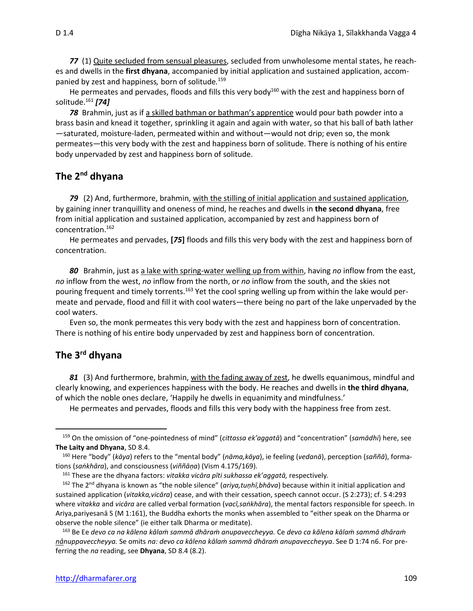*77*(1) Quite secluded from sensual pleasures, secluded from unwholesome mental states, he reaches and dwells in the **first dhyana**, accompanied by initial application and sustained application, accompanied by zest and happiness*,* born of solitude*.* 159

He permeates and pervades, floods and fills this very body<sup>160</sup> with the zest and happiness born of solitude.<sup>161</sup> *[74]*

*78* Brahmin, just as if a skilled bathman or bathman's apprentice would pour bath powder into a brass basin and knead it together, sprinkling it again and again with water, so that his ball of bath lather —saturated, moisture-laden, permeated within and without—would not drip; even so, the monk permeates—this very body with the zest and happiness born of solitude. There is nothing of his entire body unpervaded by zest and happiness born of solitude.

# **The 2nd dhyana**

79 (2) And, furthermore, brahmin, with the stilling of initial application and sustained application, by gaining inner tranquillity and oneness of mind, he reaches and dwells in **the second dhyana**, free from initial application and sustained application, accompanied by zest and happiness born of concentration.<sup>162</sup>

He permeates and pervades, **[***75***]** floods and fills this very body with the zest and happiness born of concentration.

*80* Brahmin, just as a lake with spring-water welling up from within, having *no* inflow from the east, *no* inflow from the west, *no* inflow from the north, or *no* inflow from the south, and the skies not pouring frequent and timely torrents.<sup>163</sup> Yet the cool spring welling up from within the lake would permeate and pervade, flood and fill it with cool waters—there being no part of the lake unpervaded by the cool waters.

Even so, the monk permeates this very body with the zest and happiness born of concentration. There is nothing of his entire body unpervaded by zest and happiness born of concentration.

# **The 3rd dhyana**

*81* (3) And furthermore, brahmin, with the fading away of zest, he dwells equanimous, mindful and clearly knowing, and experiences happiness with the body. He reaches and dwells in **the third dhyana**, of which the noble ones declare, 'Happily he dwells in equanimity and mindfulness.'

He permeates and pervades, floods and fills this very body with the happiness free from zest.

<sup>159</sup> On the omission of "one-pointedness of mind" (*cittassa ek'aggatā*) and "concentration" (*samādhi*) here, see **The Laity and Dhyana**, SD 8.4.

<sup>160</sup> Here "body" (*kāya*) refers to the "mental body" (*nāma,kāya*), ie feeling (*vedanā*), perception (*saññā*), formations (*saṅkhāra*), and consciousness (*viññāṇa*) (Vism 4.175/169).

<sup>161</sup> These are the dhyana factors: *vitakka vicāra pīti sukhassa ek'aggatā,* respectively*.*

<sup>162</sup> The 2nd dhyana is known as "the noble silence" (*ariya,tuṇhī,bhāva*) because within it initial application and sustained application (*vitakka,vicāra*) cease, and with their cessation, speech cannot occur. (S 2:273); cf. S 4:293 where *vitakka* and *vicāra* are called verbal formation (*vacī,saṅkhāra*), the mental factors responsible for speech. In Ariya,pariyesanā S (M 1:161), the Buddha exhorts the monks when assembled to "either speak on the Dharma or observe the noble silence" (ie either talk Dharma or meditate).

<sup>163</sup> Be Ee *devo ca na kālena kālaṁ sammā dhāraṁ anupaveccheyya.* Ce *devo ca kālena kālaṁ sammā dhāraṁ nânuppaveccheyya.* Se omits *na: devo ca kālena kālaṁ sammā dhāraṁ anupaveccheyya*. See D 1:74 n6. For preferring the *na* reading, see **Dhyana**, SD 8.4 (8.2).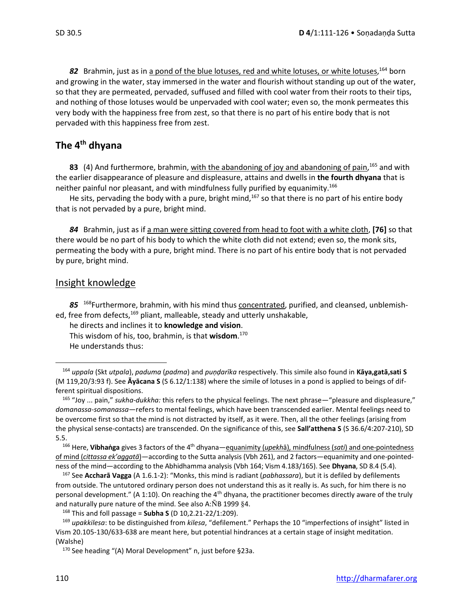82 Brahmin, just as in <u>a pond of the blue lotuses, red and white lotuses, or white lotuses, <sup>164</sup> born</u> and growing in the water, stay immersed in the water and flourish without standing up out of the water, so that they are permeated, pervaded, suffused and filled with cool water from their roots to their tips, and nothing of those lotuses would be unpervaded with cool water; even so, the monk permeates this very body with the happiness free from zest, so that there is no part of his entire body that is not pervaded with this happiness free from zest.

# **The 4th dhyana**

**83** (4) And furthermore, brahmin, with the abandoning of joy and abandoning of pain, <sup>165</sup> and with the earlier disappearance of pleasure and displeasure, attains and dwells in **the fourth dhyana** that is neither painful nor pleasant, and with mindfulness fully purified by equanimity.<sup>166</sup>

He sits, pervading the body with a pure, bright mind,<sup>167</sup> so that there is no part of his entire body that is not pervaded by a pure, bright mind.

*84* Brahmin, just as if a man were sitting covered from head to foot with a white cloth, **[76]** so that there would be no part of his body to which the white cloth did not extend; even so, the monk sits, permeating the body with a pure, bright mind. There is no part of his entire body that is not pervaded by pure, bright mind.

# Insight knowledge

85 <sup>168</sup>Furthermore, brahmin, with his mind thus concentrated, purified, and cleansed, unblemished, free from defects,<sup>169</sup> pliant, malleable, steady and utterly unshakable,

he directs and inclines it to **knowledge and vision**. This wisdom of his, too, brahmin, is that **wisdom**. 170 He understands thus:

<sup>164</sup> *uppala* (Skt *utpala*), *paduma* (*padma*) and *puṇḍarīka* respectively. This simile also found in **Kāya,gatā,sati S**  (M 119,20/3:93 f). See **Āyācana S** (S 6.12/1:138) where the simile of lotuses in a pond is applied to beings of different spiritual dispositions.

<sup>165</sup> "Joy ... pain," *sukha-dukkha:* this refers to the physical feelings. The next phrase—"pleasure and displeasure," *domanassa-somanassa*—refers to mental feelings, which have been transcended earlier. Mental feelings need to be overcome first so that the mind is not distracted by itself, as it were. Then, all the other feelings (arising from the physical sense-contacts) are transcended. On the significance of this, see **Sall'atthena S** (S 36.6/4:207-210), SD 5.5.

<sup>166</sup> Here, **Vibhaṅga** gives 3 factors of the 4th dhyana—equanimity (*upekh*ā), mindfulness (*sati*) and one-pointedness of mind (*cittassa ek'aggatā*)—according to the Sutta analysis (Vbh 261), and 2 factors—equanimity and one-pointedness of the mind—according to the Abhidhamma analysis (Vbh 164; Vism 4.183/165). See **Dhyana**, SD 8.4 (5.4).

<sup>167</sup> See **Accharā Vagga** (A 1.6.1-2): "Monks, this mind is radiant (*pabhassara*), but it is defiled by defilements from outside. The untutored ordinary person does not understand this as it really is. As such, for him there is no personal development." (A 1:10). On reaching the 4th dhyana, the practitioner becomes directly aware of the truly and naturally pure nature of the mind. See also A: $\overline{N}B$  1999 §4.

<sup>168</sup> This and foll passage = **Subha S** (D 10,2.21-22/1:209).

<sup>169</sup> *upakkilesa*: to be distinguished from *kilesa*, "defilement." Perhaps the 10 "imperfections of insight" listed in Vism 20.105-130/633-638 are meant here, but potential hindrances at a certain stage of insight meditation. (Walshe)

<sup>170</sup> See heading "(A) Moral Development" n, just before §23a.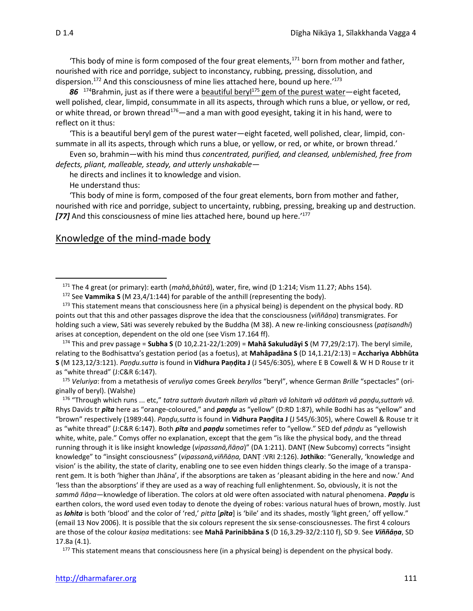'This body of mine is form composed of the four great elements, $171$  born from mother and father, nourished with rice and porridge, subject to inconstancy, rubbing, pressing, dissolution, and dispersion.<sup>172</sup> And this consciousness of mine lies attached here, bound up here.'<sup>173</sup>

86<sup>174</sup>Brahmin, just as if there were a beautiful beryl<sup>175</sup> gem of the purest water—eight faceted, well polished, clear, limpid, consummate in all its aspects, through which runs a blue, or yellow, or red, or white thread, or brown thread<sup>176</sup>—and a man with good evesight, taking it in his hand, were to reflect on it thus:

'This is a beautiful beryl gem of the purest water—eight faceted, well polished, clear, limpid, consummate in all its aspects, through which runs a blue, or yellow, or red, or white, or brown thread.'

Even so, brahmin—with his mind thus *concentrated, purified, and cleansed, unblemished, free from defects, pliant, malleable, steady, and utterly unshakable*—

he directs and inclines it to knowledge and vision.

He understand thus:

'This body of mine is form, composed of the four great elements, born from mother and father, nourished with rice and porridge, subject to uncertainty, rubbing, pressing, breaking up and destruction. *[77]* And this consciousness of mine lies attached here, bound up here.' 177

#### Knowledge of the mind-made body

<sup>174</sup> This and prev passage = **Subha S** (D 10,2.21-22/1:209) = **Mahā Sakuludāyi S** (M 77,29/2:17). The beryl simile, relating to the Bodhisattva's gestation period (as a foetus), at **Mahâpadāna S** (D 14,1.21/2:13) = **Acchariya Abbhūta S** (M 123,12/3:121). *Paṇḍu.sutta* is found in **Vidhura Paṇḍita J** (J 545/6:305), where E B Cowell & W H D Rouse tr it as "white thread" (J:C&R 6:147).

<sup>175</sup> *Veluriya*: from a metathesis of *veruliya* comes Greek *beryllos* "beryl", whence German *Brille* "spectacles" (originally of beryl). (Walshe)

176 "Through which runs ... etc," tatra suttam āvutam nīlam vā pītam vā lohitam vā odātam vā pandu, suttam vā. Rhys Davids tr *pīta* here as "orange-coloured," and *paṇḍu* as "yellow" (D:RD 1:87), while Bodhi has as "yellow" and "brown" respectively (1989:44). *Paṇḍu,sutta* is found in **Vidhura Paṇḍita J** (J 545/6:305), where Cowell & Rouse tr it as "white thread" (J:C&R 6:147). Both *pīta* and *paṇḍu* sometimes refer to "yellow." SED def *pāṇḍu* as "yellowish white, white, pale." Comys offer no explanation, except that the gem "is like the physical body, and the thread running through it is like insight knowledge (*vipassanā,ñāṇa*)" (DA 1:211). DANṬ (New Subcomy) corrects "insight knowledge" to "insight consciousness" (*vipassanā,viññāṇa,* DANṬ :VRI 2:126). **Jothiko**: "Generally, 'knowledge and vision' is the ability, the state of clarity, enabling one to see even hidden things clearly. So the image of a transparent gem. It is both 'higher than Jhāna', if the absorptions are taken as 'pleasant abiding in the here and now.' And 'less than the absorptions' if they are used as a way of reaching full enlightenment. So, obviously, it is not the *sammā ñāṇa*—knowledge of liberation. The colors at old were often associated with natural phenomena. *Paṇḍu* is earthen colors, the word used even today to denote the dyeing of robes: various natural hues of brown, mostly. Just as *lohita* is both 'blood' and the color of 'red,' *pitta* [*pīta*] is 'bile' and its shades, mostly 'light green,' off yellow." (email 13 Nov 2006). It is possible that the six colours represent the six sense-consciousnesses. The first 4 colours are those of the colour *kasiṇa* meditations: see **Mahā Parinibbāna S** (D 16,3.29-32/2:110 f), SD 9. See *Viññāṇa*, SD 17.8a (4.1).

 $177$  This statement means that consciousness here (in a physical being) is dependent on the physical body.

<sup>171</sup> The 4 great (or primary): earth (*mahā,bhūtā*), water, fire, wind (D 1:214; Vism 11.27; Abhs 154).

<sup>&</sup>lt;sup>172</sup> See Vammika S (M 23,4/1:144) for parable of the anthill (representing the body).

<sup>&</sup>lt;sup>173</sup> This statement means that consciousness here (in a physical being) is dependent on the physical body. RD points out that this and other passages disprove the idea that the consciousness (*viññāṇa*) transmigrates. For holding such a view, Sāti was severely rebuked by the Buddha (M 38). A new re-linking consciousness (*paṭisandhi*) arises at conception, dependent on the old one (see Vism 17.164 ff).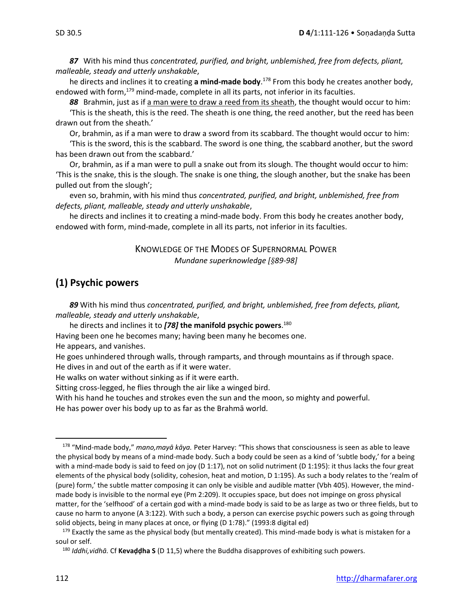*87* With his mind thus *concentrated, purified, and bright, unblemished, free from defects, pliant, malleable, steady and utterly unshakable*,

he directs and inclines it to creating **a mind-made body**.<sup>178</sup> From this body he creates another body, endowed with form,<sup>179</sup> mind-made, complete in all its parts, not inferior in its faculties.

*88* Brahmin, just as if a man were to draw a reed from its sheath, the thought would occur to him:

'This is the sheath, this is the reed. The sheath is one thing, the reed another, but the reed has been drawn out from the sheath.'

Or, brahmin, as if a man were to draw a sword from its scabbard. The thought would occur to him:

'This is the sword, this is the scabbard. The sword is one thing, the scabbard another, but the sword has been drawn out from the scabbard.'

Or, brahmin, as if a man were to pull a snake out from its slough. The thought would occur to him: 'This is the snake, this is the slough. The snake is one thing, the slough another, but the snake has been pulled out from the slough';

even so, brahmin, with his mind thus *concentrated, purified, and bright, unblemished, free from defects, pliant, malleable, steady and utterly unshakable*,

he directs and inclines it to creating a mind-made body. From this body he creates another body, endowed with form, mind-made, complete in all its parts, not inferior in its faculties.

> KNOWLEDGE OF THE MODES OF SUPERNORMAL POWER *Mundane superknowledge [89-98]*

# **(1) Psychic powers**

*89* With his mind thus *concentrated, purified, and bright, unblemished, free from defects, pliant, malleable, steady and utterly unshakable*,

he directs and inclines it to *[78]* **the manifold psychic powers**. 180

Having been one he becomes many; having been many he becomes one.

He appears, and vanishes.

He goes unhindered through walls, through ramparts, and through mountains as if through space. He dives in and out of the earth as if it were water.

He walks on water without sinking as if it were earth.

Sitting cross-legged, he flies through the air like a winged bird.

With his hand he touches and strokes even the sun and the moon, so mighty and powerful.

He has power over his body up to as far as the Brahmā world.

<sup>178</sup> "Mind-made body," *mano,mayā kāya.* Peter Harvey: "This shows that consciousness is seen as able to leave the physical body by means of a mind-made body. Such a body could be seen as a kind of 'subtle body,' for a being with a mind-made body is said to feed on joy (D 1:17), not on solid nutriment (D 1:195): it thus lacks the four great elements of the physical body (solidity, cohesion, heat and motion, D 1:195). As such a body relates to the 'realm of (pure) form,' the subtle matter composing it can only be visible and audible matter (Vbh 405). However, the mindmade body is invisible to the normal eye (Pm 2:209). It occupies space, but does not impinge on gross physical matter, for the 'selfhood' of a certain god with a mind-made body is said to be as large as two or three fields, but to cause no harm to anyone (A 3:122). With such a body, a person can exercise psychic powers such as going through solid objects, being in many places at once, or flying (D 1:78)." (1993:8 digital ed)

<sup>&</sup>lt;sup>179</sup> Exactly the same as the physical body (but mentally created). This mind-made body is what is mistaken for a soul or self.

<sup>180</sup> *Iddhi,vidhā.* Cf **Kevaḍḍha S** (D 11,5) where the Buddha disapproves of exhibiting such powers.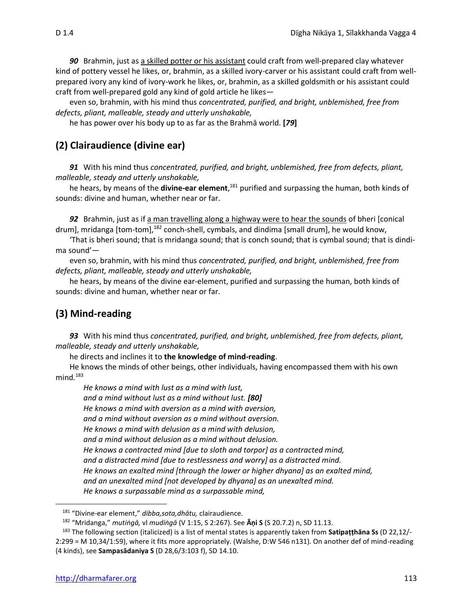*90* Brahmin, just as a skilled potter or his assistant could craft from well-prepared clay whatever kind of pottery vessel he likes, or, brahmin, as a skilled ivory-carver or his assistant could craft from wellprepared ivory any kind of ivory-work he likes, or, brahmin, as a skilled goldsmith or his assistant could craft from well-prepared gold any kind of gold article he likes—

even so, brahmin, with his mind thus *concentrated, purified, and bright, unblemished, free from defects, pliant, malleable, steady and utterly unshakable,* 

he has power over his body up to as far as the Brahmā world. **[***79***]**

# **(2) Clairaudience (divine ear)**

*91* With his mind thus *concentrated, purified, and bright, unblemished, free from defects, pliant, malleable, steady and utterly unshakable,* 

he hears, by means of the **divine-ear element**, <sup>181</sup> purified and surpassing the human, both kinds of sounds: divine and human, whether near or far.

*92* Brahmin, just as if a man travelling along a highway were to hear the sounds of bheri [conical drum], mridanga [tom-tom],<sup>182</sup> conch-shell, cymbals, and dindima [small drum], he would know,

'That is bheri sound; that is mridanga sound; that is conch sound; that is cymbal sound; that is dindima sound'—

even so, brahmin, with his mind thus *concentrated, purified, and bright, unblemished, free from defects, pliant, malleable, steady and utterly unshakable,*

he hears, by means of the divine ear-element, purified and surpassing the human, both kinds of sounds: divine and human, whether near or far.

# **(3) Mind-reading**

*93* With his mind thus *concentrated, purified, and bright, unblemished, free from defects, pliant, malleable, steady and utterly unshakable,* 

he directs and inclines it to **the knowledge of mind-reading**.

He knows the minds of other beings, other individuals, having encompassed them with his own mind*.* 183

*He knows a mind with lust as a mind with lust, and a mind without lust as a mind without lust. [80] He knows a mind with aversion as a mind with aversion, and a mind without aversion as a mind without aversion. He knows a mind with delusion as a mind with delusion, and a mind without delusion as a mind without delusion. He knows a contracted mind [due to sloth and torpor] as a contracted mind, and a distracted mind [due to restlessness and worry] as a distracted mind. He knows an exalted mind [through the lower or higher dhyana] as an exalted mind, and an unexalted mind [not developed by dhyana] as an unexalted mind. He knows a surpassable mind as a surpassable mind,* 

<sup>181</sup> "Divine-ear element," *dibba,sota,dhātu,* clairaudience.

<sup>182</sup> "Mridanga," *mutiṅgā,* vl *mudiṅgā* (V 1:15, S 2:267). See **Ᾱṇi S** (S 20.7.2) n, SD 11.13.

<sup>183</sup> The following section (italicized) is a list of mental states is apparently taken from **Satipaṭṭhāna Ss** (D 22,12/- 2:299 = M 10,34/1:59), where it fits more appropriately. (Walshe, D:W 546 n131). On another def of mind-reading (4 kinds), see **Sampasādaniya S** (D 28,6/3:103 f), SD 14.10.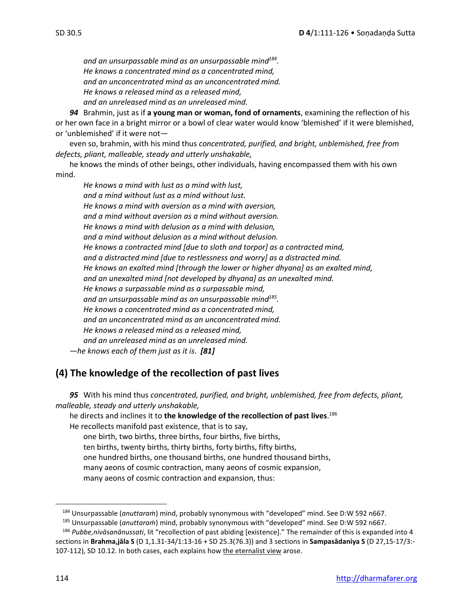*and an unsurpassable mind as an unsurpassable mind<sup>184</sup> . He knows a concentrated mind as a concentrated mind, and an unconcentrated mind as an unconcentrated mind. He knows a released mind as a released mind,* 

*and an unreleased mind as an unreleased mind.*

*94* Brahmin, just as if **a young man or woman, fond of ornaments**, examining the reflection of his or her own face in a bright mirror or a bowl of clear water would know 'blemished' if it were blemished, or 'unblemished' if it were not—

even so, brahmin, with his mind thus *concentrated, purified, and bright, unblemished, free from defects, pliant, malleable, steady and utterly unshakable,* 

he knows the minds of other beings, other individuals, having encompassed them with his own mind.

*He knows a mind with lust as a mind with lust, and a mind without lust as a mind without lust. He knows a mind with aversion as a mind with aversion, and a mind without aversion as a mind without aversion. He knows a mind with delusion as a mind with delusion, and a mind without delusion as a mind without delusion. He knows a contracted mind [due to sloth and torpor] as a contracted mind, and a distracted mind [due to restlessness and worry] as a distracted mind. He knows an exalted mind [through the lower or higher dhyana] as an exalted mind, and an unexalted mind [not developed by dhyana] as an unexalted mind. He knows a surpassable mind as a surpassable mind, and an unsurpassable mind as an unsurpassable mind<sup>185</sup> . He knows a concentrated mind as a concentrated mind, and an unconcentrated mind as an unconcentrated mind. He knows a released mind as a released mind, and an unreleased mind as an unreleased mind.* —*he knows each of them just as it is*. *[81]*

# **(4) The knowledge of the recollection of past lives**

*95* With his mind thus *concentrated, purified, and bright, unblemished, free from defects, pliant, malleable, steady and utterly unshakable,*

he directs and inclines it to **the knowledge of the recollection of past lives**. 186 He recollects manifold past existence, that is to say, one birth, two births, three births, four births, five births, ten births, twenty births, thirty births, forty births, fifty births, one hundred births, one thousand births, one hundred thousand births, many aeons of cosmic contraction, many aeons of cosmic expansion, many aeons of cosmic contraction and expansion, thus:

<sup>184</sup> Unsurpassable (*anuttaraṁ*) mind, probably synonymous with "developed" mind. See D:W 592 n667.

<sup>185</sup> Unsurpassable (*anuttaraṁ*) mind, probably synonymous with "developed" mind. See D:W 592 n667.

<sup>186</sup> *Pubbe,nivāsanânussati*, lit "recollection of past abiding [existence]." The remainder of this is expanded into 4 sections in **Brahma,jāla S** (D 1,1.31-34/1:13-16 + SD 25.3(76.3)) and 3 sections in **Sampasādaniya S** (D 27,15-17/3:- 107-112), SD 10.12. In both cases, each explains how the eternalist view arose.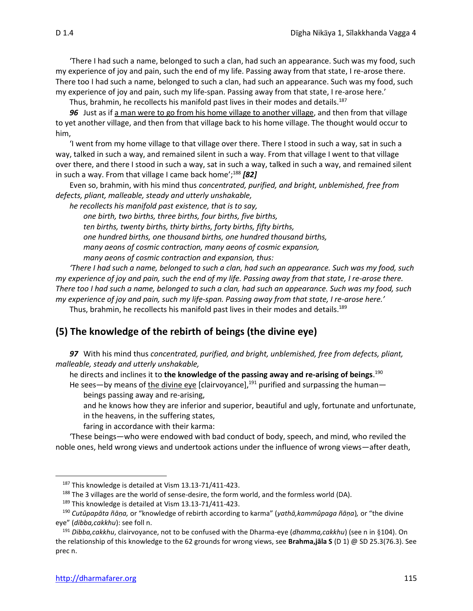'There I had such a name, belonged to such a clan, had such an appearance. Such was my food, such my experience of joy and pain, such the end of my life. Passing away from that state, I re-arose there. There too I had such a name, belonged to such a clan, had such an appearance. Such was my food, such my experience of joy and pain, such my life-span. Passing away from that state, I re-arose here.'

Thus, brahmin, he recollects his manifold past lives in their modes and details.<sup>187</sup>

*96* Just as if a man were to go from his home village to another village, and then from that village to yet another village, and then from that village back to his home village. The thought would occur to him,

'I went from my home village to that village over there. There I stood in such a way, sat in such a way, talked in such a way, and remained silent in such a way. From that village I went to that village over there, and there I stood in such a way, sat in such a way, talked in such a way, and remained silent in such a way. From that village I came back home'; <sup>188</sup> *[82]*

Even so, brahmin, with his mind thus *concentrated, purified, and bright, unblemished, free from defects, pliant, malleable, steady and utterly unshakable,* 

*he recollects his manifold past existence, that is to say,* 

*one birth, two births, three births, four births, five births, ten births, twenty births, thirty births, forty births, fifty births, one hundred births, one thousand births, one hundred thousand births, many aeons of cosmic contraction, many aeons of cosmic expansion, many aeons of cosmic contraction and expansion, thus:* 

*'There I had such a name, belonged to such a clan, had such an appearance. Such was my food, such my experience of joy and pain, such the end of my life. Passing away from that state, I re-arose there. There too I had such a name, belonged to such a clan, had such an appearance. Such was my food, such my experience of joy and pain, such my life-span. Passing away from that state, I re-arose here.'* 

Thus, brahmin, he recollects his manifold past lives in their modes and details.<sup>189</sup>

# **(5) The knowledge of the rebirth of beings (the divine eye)**

*97* With his mind thus *concentrated, purified, and bright, unblemished, free from defects, pliant, malleable, steady and utterly unshakable,*

he directs and inclines it to **the knowledge of the passing away and re-arising of beings**. 190

He sees—by means of the divine eye [clairvoyance],<sup>191</sup> purified and surpassing the human beings passing away and re-arising,

and he knows how they are inferior and superior, beautiful and ugly, fortunate and unfortunate, in the heavens, in the suffering states,

faring in accordance with their karma:

'These beings—who were endowed with bad conduct of body, speech, and mind, who reviled the noble ones, held wrong views and undertook actions under the influence of wrong views—after death,

<sup>187</sup> This knowledge is detailed at Vism 13.13-71/411-423.

 $188$  The 3 villages are the world of sense-desire, the form world, and the formless world (DA).

<sup>&</sup>lt;sup>189</sup> This knowledge is detailed at Vism 13.13-71/411-423.

<sup>190</sup> *Cutûpapāta ñāṇa,* or "knowledge of rebirth according to karma" (*yathā,kammûpaga ñāṇa*)*,* or "the divine eye" (*dibba,cakkhu*): see foll n.

<sup>191</sup> *Dibba,cakkhu*, clairvoyance, not to be confused with the Dharma-eye (*dhamma,cakkhu*) (see n in 104). On the relationship of this knowledge to the 62 grounds for wrong views, see **Brahma,jāla S** (D 1) @ SD 25.3(76.3). See prec n.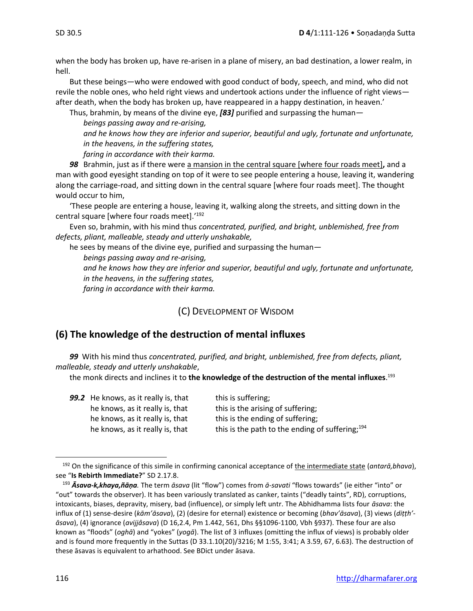when the body has broken up, have re-arisen in a plane of misery, an bad destination, a lower realm, in hell.

But these beings—who were endowed with good conduct of body, speech, and mind, who did not revile the noble ones, who held right views and undertook actions under the influence of right views after death, when the body has broken up, have reappeared in a happy destination, in heaven.'

Thus, brahmin, by means of the divine eye, *[83]* purified and surpassing the human*—*

*beings passing away and re-arising,* 

*and he knows how they are inferior and superior, beautiful and ugly, fortunate and unfortunate, in the heavens, in the suffering states,* 

*faring in accordance with their karma.* 

*98* Brahmin, just as if there were a mansion in the central square [where four roads meet]**,** and a man with good eyesight standing on top of it were to see people entering a house, leaving it, wandering along the carriage-road, and sitting down in the central square [where four roads meet]. The thought would occur to him,

'These people are entering a house, leaving it, walking along the streets, and sitting down in the central square [where four roads meet].' 192

Even so, brahmin, with his mind thus *concentrated, purified, and bright, unblemished, free from defects, pliant, malleable, steady and utterly unshakable,*

he sees by means of the divine eye, purified and surpassing the human*—*

*beings passing away and re-arising,* 

*and he knows how they are inferior and superior, beautiful and ugly, fortunate and unfortunate, in the heavens, in the suffering states, faring in accordance with their karma.* 

(C) DEVELOPMENT OF WISDOM

# **(6) The knowledge of the destruction of mental influxes**

*99*With his mind thus *concentrated, purified, and bright, unblemished, free from defects, pliant, malleable, steady and utterly unshakable*,

the monk directs and inclines it to **the knowledge of the destruction of the mental influxes**. 193

| 99.2 He knows, as it really is, that | this is suffering;                                 |
|--------------------------------------|----------------------------------------------------|
| he knows, as it really is, that      | this is the arising of suffering;                  |
| he knows, as it really is, that      | this is the ending of suffering;                   |
| he knows, as it really is, that      | this is the path to the ending of suffering; $194$ |

<sup>192</sup> On the significance of this simile in confirming canonical acceptance of the intermediate state (*antarā,bhava*), see "**Is Rebirth Immediate?**" SD 2.17.8.

<sup>193</sup> *Ᾱsava-k,khaya,ñāṇa.* The term *āsava* (lit "flow") comes from *ā-savati* "flows towards" (ie either "into" or "out" towards the observer). It has been variously translated as canker, taints ("deadly taints", RD), corruptions, intoxicants, biases, depravity, misery, bad (influence), or simply left untr. The Abhidhamma lists four *āsava*: the influx of (1) sense-desire (*kām'āsava*), (2) (desire for eternal) existence or becoming (*bhav'āsava*), (3) views (*diṭṭh' āsava*), (4) ignorance (*avijjâsava*) (D 16,2.4, Pm 1.442, 561, Dhs §§1096-1100, Vbh §937). These four are also known as "floods" (*oghā*) and "yokes" (*yogā*). The list of 3 influxes (omitting the influx of views) is probably older and is found more frequently in the Suttas (D 33.1.10(20)/3216; M 1:55, 3:41; A 3.59, 67, 6.63). The destruction of these āsavas is equivalent to arhathood. See BDict under āsava.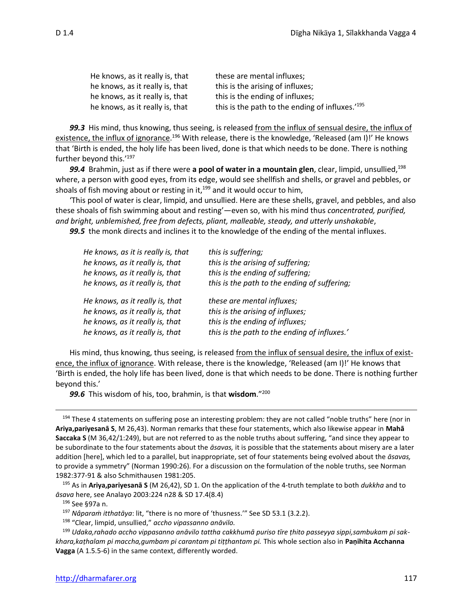| He knows, as it really is, that | these are mental influxes;                                  |
|---------------------------------|-------------------------------------------------------------|
| he knows, as it really is, that | this is the arising of influxes;                            |
| he knows, as it really is, that | this is the ending of influxes;                             |
| he knows, as it really is, that | this is the path to the ending of influxes.' <sup>195</sup> |

*99.3*His mind, thus knowing, thus seeing, is released from the influx of sensual desire, the influx of existence, the influx of ignorance.<sup>196</sup> With release, there is the knowledge, 'Released (am I)!' He knows that 'Birth is ended, the holy life has been lived, done is that which needs to be done. There is nothing further beyond this.'<sup>197</sup>

99.4 Brahmin, just as if there were a pool of water in a mountain glen, clear, limpid, unsullied,<sup>198</sup> where, a person with good eyes, from its edge, would see shellfish and shells, or gravel and pebbles, or shoals of fish moving about or resting in it, $199$  and it would occur to him,

'This pool of water is clear, limpid, and unsullied. Here are these shells, gravel, and pebbles, and also these shoals of fish swimming about and resting'—even so, with his mind thus *concentrated, purified, and bright, unblemished, free from defects, pliant, malleable, steady, and utterly unshakable*, *99.5*the monk directs and inclines it to the knowledge of the ending of the mental influxes.

*He knows, as it is really is, that this is suffering; he knows, as it really is, that this is the arising of suffering; he knows, as it really is, that this is the ending of suffering; he knows, as it really is, that this is the path to the ending of suffering; He knows, as it really is, that these are mental influxes; he knows, as it really is, that this is the arising of influxes; he knows, as it really is, that this is the ending of influxes; he knows, as it really is, that this is the path to the ending of influxes.'*

His mind, thus knowing, thus seeing, is released from the influx of sensual desire, the influx of existence, the influx of ignorance. With release, there is the knowledge, 'Released (am I)!' He knows that 'Birth is ended, the holy life has been lived, done is that which needs to be done. There is nothing further beyond this.'

*99.6*This wisdom of his, too, brahmin, is that **wisdom**." 200

<sup>195</sup> As in **Ariya,pariyesanā S** (M 26,42), SD 1. On the application of the 4-truth template to both *dukkha* and to *āsava* here, see Analayo 2003:224 n28 & SD 17.4(8.4)

<sup>196</sup> See §97a n.

<sup>197</sup> *Nâparaṁ itthatāya*: lit, "there is no more of 'thusness.'" See SD 53.1 (3.2.2).

<sup>198</sup> "Clear, limpid, unsullied," *accho vipassanno anāvilo.*

<sup>&</sup>lt;sup>194</sup> These 4 statements on suffering pose an interesting problem: they are not called "noble truths" here (nor in **Ariya,pariyesanā S**, M 26,43). Norman remarks that these four statements, which also likewise appear in **Mahā Saccaka S** (M 36,42/1:249), but are not referred to as the noble truths about suffering, "and since they appear to be subordinate to the four statements about the *āsavas,* it is possible that the statements about misery are a later addition [here], which led to a parallel, but inappropriate, set of four statements being evolved about the *āsavas,* to provide a symmetry" (Norman 1990:26). For a discussion on the formulation of the noble truths, see Norman 1982:377-91 & also Schmithausen 1981:205.

<sup>199</sup> *Udaka,rahado accho vippasanno anāvilo tattha cakkhumā puriso tīre ṭhito passeyya sippi,sambukam pi sakkhara,kaṭhalam pi maccha,gumbam pi carantam pi tiṭṭhantam pi.* This whole section also in **Paṇihita Acchanna Vagga** (A 1.5.5-6) in the same context, differently worded.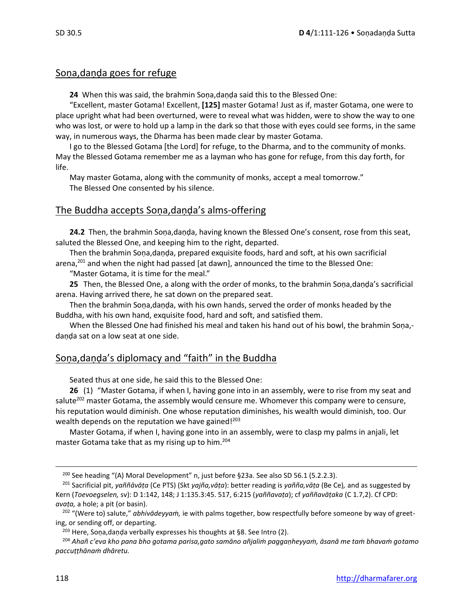# Soṇa,daṇḍa goes for refuge

**24** When this was said, the brahmin Soṇa,daṇḍa said this to the Blessed One:

"Excellent, master Gotama! Excellent, **[125]** master Gotama! Just as if, master Gotama, one were to place upright what had been overturned, were to reveal what was hidden, were to show the way to one who was lost, or were to hold up a lamp in the dark so that those with eyes could see forms, in the same way, in numerous ways, the Dharma has been made clear by master Gotama.

I go to the Blessed Gotama [the Lord] for refuge, to the Dharma, and to the community of monks. May the Blessed Gotama remember me as a layman who has gone for refuge, from this day forth, for life.

May master Gotama, along with the community of monks, accept a meal tomorrow." The Blessed One consented by his silence.

# The Buddha accepts Soṇa,daṇḍa's alms-offering

**24.2** Then, the brahmin Soṇa,daṇḍa, having known the Blessed One's consent, rose from this seat, saluted the Blessed One, and keeping him to the right, departed.

Then the brahmin Soṇa,daṇḍa, prepared exquisite foods, hard and soft, at his own sacrificial arena,<sup>201</sup> and when the night had passed [at dawn], announced the time to the Blessed One:

"Master Gotama, it is time for the meal."

**25** Then, the Blessed One, a along with the order of monks, to the brahmin Soṇa,daṇḍa's sacrificial arena. Having arrived there, he sat down on the prepared seat.

Then the brahmin Soṇa,daṇḍa, with his own hands, served the order of monks headed by the Buddha, with his own hand, exquisite food, hard and soft, and satisfied them.

When the Blessed One had finished his meal and taken his hand out of his bowl, the brahmin Sona,daṇḍa sat on a low seat at one side.

# Soṇa,daṇḍa's diplomacy and "faith" in the Buddha

Seated thus at one side, he said this to the Blessed One:

**26** (1) "Master Gotama, if when I, having gone into in an assembly, were to rise from my seat and salute<sup>202</sup> master Gotama, the assembly would censure me. Whomever this company were to censure, his reputation would diminish. One whose reputation diminishes, his wealth would diminish, too. Our wealth depends on the reputation we have gained! $203$ 

Master Gotama, if when I, having gone into in an assembly, were to clasp my palms in anjali, let master Gotama take that as my rising up to him.<sup>204</sup>

<sup>&</sup>lt;sup>200</sup> See heading "(A) Moral Development" n, just before §23a. See also SD 56.1 (5.2.2.3).

<sup>201</sup> Sacrificial pit, *yaññāvāṭa* (Ce PTS) (Skt *yajña,vāṭa*): better reading is *yañña,vāṭa* (Be Ce)*,* and as suggested by Kern (*Toevoegselen,* sv): D 1:142, 148; J 1:135.3:45. 517, 6:215 (*yaññavaṭa*); cf *yaññavāṭaka* (C 1.7,2). Cf CPD: *avaṭa,* a hole; a pit (or basin).

<sup>202</sup> "(Were to) salute," *abhivādeyyaṁ,* ie with palms together, bow respectfully before someone by way of greeting, or sending off, or departing.

 $203$  Here, Sona, danda verbally expresses his thoughts at §8. See Intro (2).

<sup>204</sup> *Ahañ c'eva kho pana bho gotama parisa,gato samāno añjaliṁ paggaṇheyyaṁ, āsanā me taṁ bhavaṁ gotamo paccuṭṭhānaṁ dhāretu.*